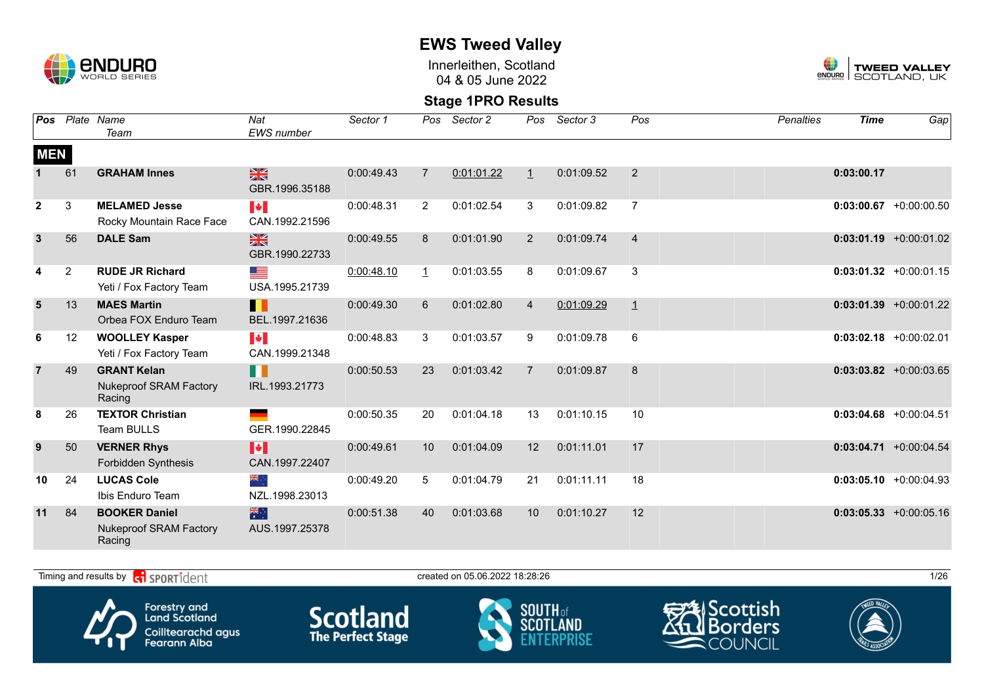

Innerleithen, Scotland 04 & 05 June 2022



### **Stage 1PRO Results**

| Pos            |                | Plate Name                                                      | Nat                                     | Sector 1   | Pos            | Sector 2   | Pos            | Sector 3   | Pos            | <b>Penalties</b> | <b>Time</b> | $Ga$ p                    |
|----------------|----------------|-----------------------------------------------------------------|-----------------------------------------|------------|----------------|------------|----------------|------------|----------------|------------------|-------------|---------------------------|
|                |                | Team                                                            | <b>EWS</b> number                       |            |                |            |                |            |                |                  |             |                           |
| <b>MEN</b>     |                |                                                                 |                                         |            |                |            |                |            |                |                  |             |                           |
|                | 61             | <b>GRAHAM Innes</b>                                             | $\frac{N}{N}$<br>GBR.1996.35188         | 0:00:49.43 | $\overline{7}$ | 0:01:01.22 | $\mathbf{1}$   | 0:01:09.52 | 2              |                  | 0:03:00.17  |                           |
| $\mathbf{2}$   | 3              | <b>MELAMED Jesse</b><br>Rocky Mountain Race Face                | <b>IV</b><br>CAN.1992.21596             | 0:00:48.31 | $\overline{2}$ | 0:01:02.54 | 3              | 0:01:09.82 | $\overline{7}$ |                  |             | $0:03:00.67$ +0:00:00.50  |
| $\mathbf{3}$   | 56             | <b>DALE Sam</b>                                                 | $\frac{N}{N}$<br>GBR.1990.22733         | 0:00:49.55 | 8              | 0:01:01.90 | 2              | 0:01:09.74 | $\overline{4}$ |                  |             | $0:03:01.19$ +0:00:01.02  |
| 4              | $\overline{2}$ | <b>RUDE JR Richard</b><br>Yeti / Fox Factory Team               | <u>est</u><br>USA.1995.21739            | 0:00:48.10 | $\mathbf{1}$   | 0:01:03.55 | 8              | 0:01:09.67 | 3              |                  |             | $0:03:01.32 +0:00:01.15$  |
| 5              | 13             | <b>MAES Martin</b><br>Orbea FOX Enduro Team                     | П<br>BEL.1997.21636                     | 0:00:49.30 | $6^{\circ}$    | 0:01:02.80 | $\overline{4}$ | 0:01:09.29 | $\overline{1}$ |                  |             | $0:03:01.39 + 0:00:01.22$ |
| 6              | 12             | <b>WOOLLEY Kasper</b><br>Yeti / Fox Factory Team                | $\blacktriangleright$<br>CAN.1999.21348 | 0:00:48.83 | 3              | 0:01:03.57 | 9              | 0:01:09.78 | 6              |                  |             | $0:03:02.18$ +0:00:02.01  |
| $\overline{7}$ | 49             | <b>GRANT Kelan</b><br><b>Nukeproof SRAM Factory</b><br>Racing   | II.<br>IRL.1993.21773                   | 0:00:50.53 | 23             | 0:01:03.42 | $\overline{7}$ | 0:01:09.87 | 8              |                  |             | $0:03:03.82$ +0:00:03.65  |
| 8              | 26             | <b>TEXTOR Christian</b><br><b>Team BULLS</b>                    | GER.1990.22845                          | 0:00:50.35 | 20             | 0:01:04.18 | 13             | 0:01:10.15 | 10             |                  |             | $0:03:04.68$ +0:00:04.51  |
| 9              | 50             | <b>VERNER Rhys</b><br>Forbidden Synthesis                       | $\blacktriangleright$<br>CAN.1997.22407 | 0:00:49.61 | 10             | 0:01:04.09 | 12             | 0:01:11.01 | 17             |                  |             | $0:03:04.71 + 0:00:04.54$ |
| 10             | 24             | <b>LUCAS Cole</b><br>Ibis Enduro Team                           | ं और<br>NZL.1998.23013                  | 0:00:49.20 | 5              | 0:01:04.79 | 21             | 0:01:11.11 | 18             |                  |             | $0:03:05.10 + 0:00:04.93$ |
| 11             | 84             | <b>BOOKER Daniel</b><br><b>Nukeproof SRAM Factory</b><br>Racing | 業業<br>AUS.1997.25378                    | 0:00:51.38 | 40             | 0:01:03.68 | 10             | 0:01:10.27 | 12             |                  |             | $0:03:05.33 + 0:00:05.16$ |

Timing and results by  $\frac{1}{10}$  SPORT1 $\frac{1}{26}$  Created on 05.06.2022 18:28:26 1/26









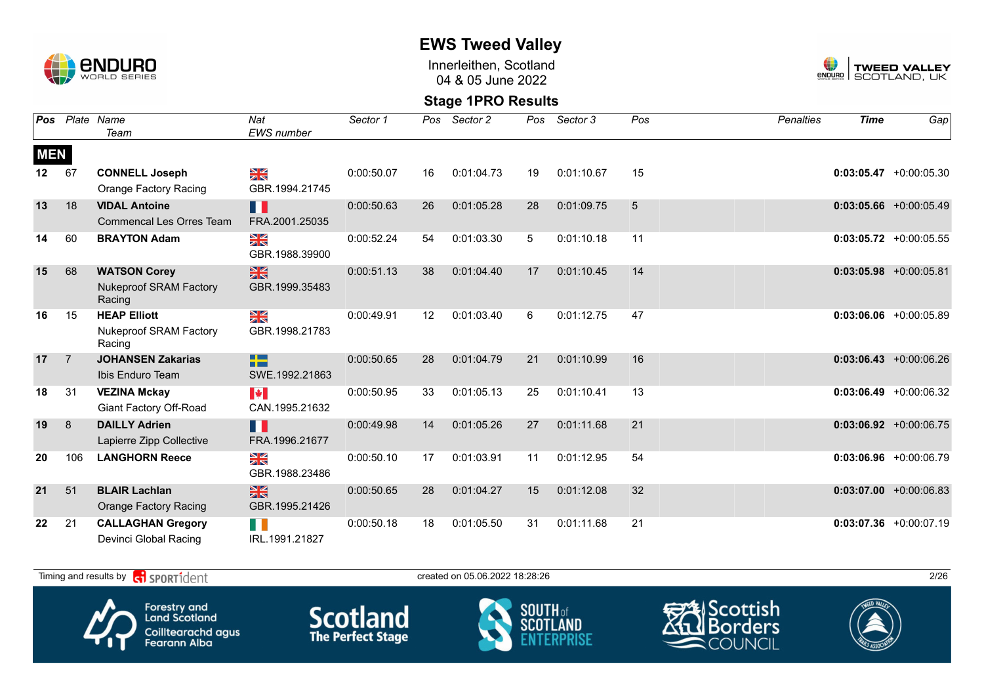

Innerleithen, Scotland 04 & 05 June 2022



### **Stage 1PRO Results**

| Pos        |                | Plate Name                              | Nat                     | Sector 1   | Pos | Sector 2   | Pos | Sector 3   | Pos | <b>Penalties</b> | <b>Time</b> | Gap                       |
|------------|----------------|-----------------------------------------|-------------------------|------------|-----|------------|-----|------------|-----|------------------|-------------|---------------------------|
|            |                | Team                                    | EWS number              |            |     |            |     |            |     |                  |             |                           |
| <b>MEN</b> |                |                                         |                         |            |     |            |     |            |     |                  |             |                           |
| $12 \,$    | 67             | <b>CONNELL Joseph</b>                   | $\frac{\sum x}{\sum x}$ | 0:00:50.07 | 16  | 0:01:04.73 | 19  | 0:01:10.67 | 15  |                  |             | $0:03:05.47 + 0:00:05.30$ |
|            |                | Orange Factory Racing                   | GBR.1994.21745          |            |     |            |     |            |     |                  |             |                           |
| 13         | 18             | <b>VIDAL Antoine</b>                    | M                       | 0:00:50.63 | 26  | 0:01:05.28 | 28  | 0:01:09.75 | 5   |                  |             | $0:03:05.66$ +0:00:05.49  |
|            |                | <b>Commencal Les Orres Team</b>         | FRA.2001.25035          |            |     |            |     |            |     |                  |             |                           |
| 14         | 60             | <b>BRAYTON Adam</b>                     | N<br>X                  | 0:00:52.24 | 54  | 0:01:03.30 | 5   | 0:01:10.18 | 11  |                  |             | $0:03:05.72$ +0:00:05.55  |
|            |                |                                         | GBR.1988.39900          |            |     |            |     |            |     |                  |             |                           |
| 15         | 68             | <b>WATSON Corey</b>                     | $\frac{N}{N}$           | 0:00:51.13 | 38  | 0:01:04.40 | 17  | 0:01:10.45 | 14  |                  |             | $0:03:05.98$ +0:00:05.81  |
|            |                | <b>Nukeproof SRAM Factory</b><br>Racing | GBR.1999.35483          |            |     |            |     |            |     |                  |             |                           |
| 16         | 15             | <b>HEAP Elliott</b>                     | NK<br>ZK                | 0:00:49.91 | 12  | 0:01:03.40 | 6   | 0:01:12.75 | 47  |                  |             | $0:03:06.06$ +0:00:05.89  |
|            |                | Nukeproof SRAM Factory<br>Racing        | GBR.1998.21783          |            |     |            |     |            |     |                  |             |                           |
| 17         | $\overline{7}$ | <b>JOHANSEN Zakarias</b>                | F٣                      | 0:00:50.65 | 28  | 0:01:04.79 | 21  | 0:01:10.99 | 16  |                  |             | $0:03:06.43 + 0:00:06.26$ |
|            |                | Ibis Enduro Team                        | SWE.1992.21863          |            |     |            |     |            |     |                  |             |                           |
| 18         | 31             | <b>VEZINA Mckay</b>                     | N.                      | 0:00:50.95 | 33  | 0:01:05.13 | 25  | 0:01:10.41 | 13  |                  |             | $0:03:06.49 + 0:00:06.32$ |
|            |                | <b>Giant Factory Off-Road</b>           | CAN.1995.21632          |            |     |            |     |            |     |                  |             |                           |
| 19         | 8              | <b>DAILLY Adrien</b>                    | H                       | 0:00:49.98 | 14  | 0:01:05.26 | 27  | 0:01:11.68 | 21  |                  |             | $0:03:06.92 +0:00:06.75$  |
|            |                | Lapierre Zipp Collective                | FRA.1996.21677          |            |     |            |     |            |     |                  |             |                           |
| 20         | 106            | <b>LANGHORN Reece</b>                   | $\frac{\sum x}{\sum x}$ | 0:00:50.10 | 17  | 0:01:03.91 | 11  | 0:01:12.95 | 54  |                  |             | $0:03:06.96 + 0:00:06.79$ |
|            |                |                                         | GBR.1988.23486          |            |     |            |     |            |     |                  |             |                           |
| 21         | 51             | <b>BLAIR Lachlan</b>                    | $\frac{N}{N}$           | 0:00:50.65 | 28  | 0:01:04.27 | 15  | 0:01:12.08 | 32  |                  |             | $0:03:07.00 + 0:00:06.83$ |
|            |                | <b>Orange Factory Racing</b>            | GBR.1995.21426          |            |     |            |     |            |     |                  |             |                           |
| 22         | 21             | <b>CALLAGHAN Gregory</b>                | H                       | 0:00:50.18 | 18  | 0:01:05.50 | 31  | 0:01:11.68 | 21  |                  |             | $0:03:07.36$ +0:00:07.19  |
|            |                | Devinci Global Racing                   | IRL.1991.21827          |            |     |            |     |            |     |                  |             |                           |

Timing and results by  $\overline{c_1}$  SPORT1 $\overline{1}$  dent to the created on 05.06.2022 18:28:26 2/26









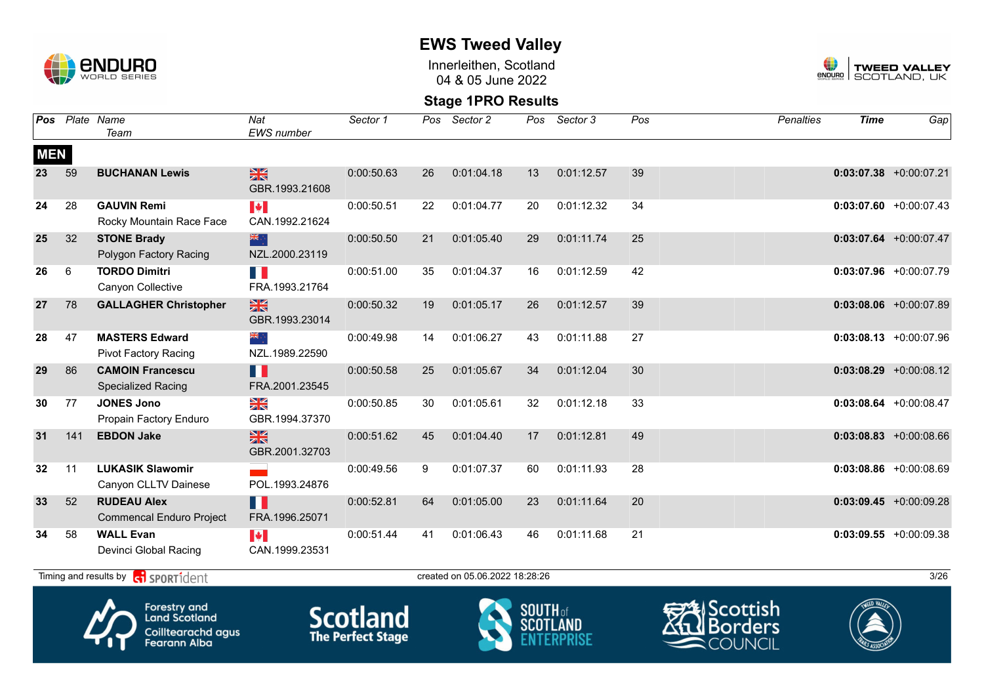

Innerleithen, Scotland 04 & 05 June 2022



### **Stage 1PRO Results**

| Pos        |     | Plate Name<br>Team                                   | Nat<br><b>EWS</b> number                | Sector 1   | Pos | Sector 2                       | Pos | Sector 3   | Pos | <b>Penalties</b> | <b>Time</b> | Gap                       |
|------------|-----|------------------------------------------------------|-----------------------------------------|------------|-----|--------------------------------|-----|------------|-----|------------------|-------------|---------------------------|
| <b>MEN</b> |     |                                                      |                                         |            |     |                                |     |            |     |                  |             |                           |
| 23         | 59  | <b>BUCHANAN Lewis</b>                                | $\frac{N}{N}$<br>GBR.1993.21608         | 0:00:50.63 | 26  | 0:01:04.18                     | 13  | 0:01:12.57 | 39  |                  |             | $0:03:07.38$ +0:00:07.21  |
| 24         | 28  | <b>GAUVIN Remi</b><br>Rocky Mountain Race Face       | $\blacktriangleright$<br>CAN.1992.21624 | 0:00:50.51 | 22  | 0:01:04.77                     | 20  | 0:01:12.32 | 34  |                  |             | $0:03:07.60$ +0:00:07.43  |
| 25         | 32  | <b>STONE Brady</b><br>Polygon Factory Racing         | 米中<br>NZL.2000.23119                    | 0:00:50.50 | 21  | 0:01:05.40                     | 29  | 0:01:11.74 | 25  |                  |             | $0:03:07.64$ +0:00:07.47  |
| 26         | 6   | <b>TORDO Dimitri</b><br>Canyon Collective            | n a<br>FRA.1993.21764                   | 0:00:51.00 | 35  | 0:01:04.37                     | 16  | 0:01:12.59 | 42  |                  |             | $0:03:07.96$ +0:00:07.79  |
| 27         | 78  | <b>GALLAGHER Christopher</b>                         | $\frac{N}{N}$<br>GBR.1993.23014         | 0:00:50.32 | 19  | 0:01:05.17                     | 26  | 0:01:12.57 | 39  |                  |             | $0:03:08.06$ +0:00:07.89  |
| 28         | 47  | <b>MASTERS Edward</b><br><b>Pivot Factory Racing</b> | ▓<br>NZL.1989.22590                     | 0:00:49.98 | 14  | 0:01:06.27                     | 43  | 0:01:11.88 | 27  |                  |             | $0:03:08.13 + 0:00:07.96$ |
| 29         | 86  | <b>CAMOIN Francescu</b><br><b>Specialized Racing</b> | Ш<br>FRA.2001.23545                     | 0:00:50.58 | 25  | 0:01:05.67                     | 34  | 0:01:12.04 | 30  |                  |             | $0:03:08.29 +0:00:08.12$  |
| 30         | 77  | <b>JONES Jono</b><br>Propain Factory Enduro          | $\frac{N}{N}$<br>GBR.1994.37370         | 0:00:50.85 | 30  | 0:01:05.61                     | 32  | 0:01:12.18 | 33  |                  |             | $0:03:08.64$ +0:00:08.47  |
| 31         | 141 | <b>EBDON Jake</b>                                    | $\frac{N}{N}$<br>GBR.2001.32703         | 0:00:51.62 | 45  | 0:01:04.40                     | 17  | 0:01:12.81 | 49  |                  |             | $0:03:08.83$ +0:00:08.66  |
| 32         | 11  | <b>LUKASIK Slawomir</b><br>Canyon CLLTV Dainese      | POL.1993.24876                          | 0:00:49.56 | 9   | 0:01:07.37                     | 60  | 0:01:11.93 | 28  |                  |             | $0:03:08.86$ +0:00:08.69  |
| 33         | 52  | <b>RUDEAU Alex</b><br>Commencal Enduro Project       | H<br>FRA.1996.25071                     | 0:00:52.81 | 64  | 0:01:05.00                     | 23  | 0:01:11.64 | 20  |                  |             | $0:03:09.45 +0:00:09.28$  |
| 34         | 58  | <b>WALL Evan</b><br>Devinci Global Racing            | $\blacktriangleright$<br>CAN.1999.23531 | 0:00:51.44 | 41  | 0:01:06.43                     | 46  | 0:01:11.68 | 21  |                  |             | $0:03:09.55 + 0:00:09.38$ |
|            |     | Timing and results by <b>ci</b> SPORT1dent           |                                         |            |     | created on 05.06.2022 18:28:26 |     |            |     |                  |             | 3/26                      |









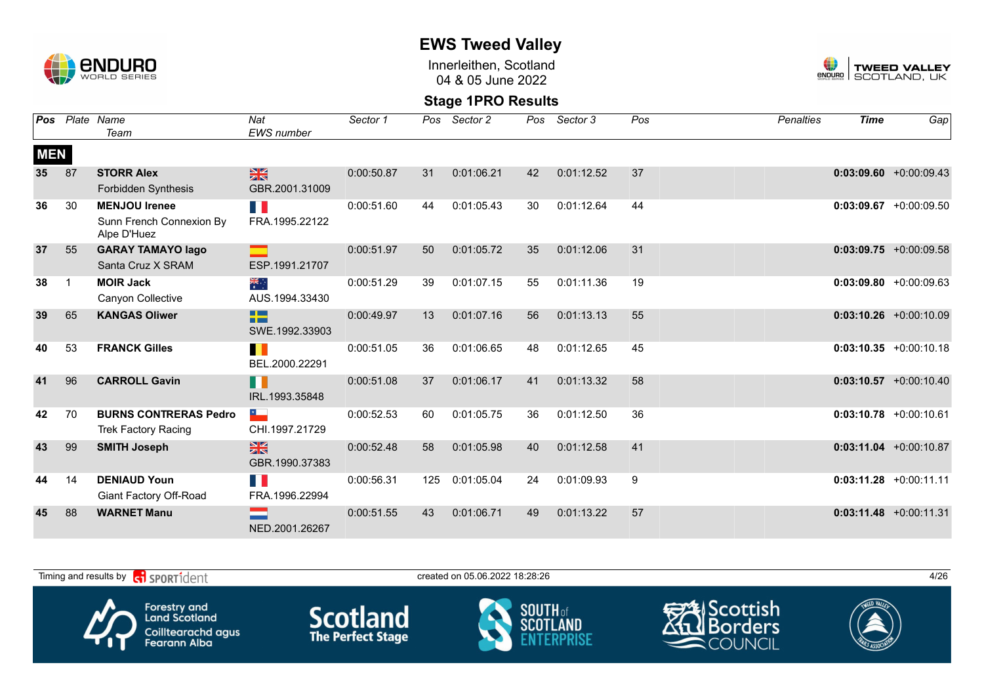

Innerleithen, Scotland 04 & 05 June 2022



|            | Pos Plate Name |                                         | Nat                  | Sector 1   | Pos | Sector 2   | Pos | Sector 3   | Pos | <b>Penalties</b> | <b>Time</b> | Gap                       |
|------------|----------------|-----------------------------------------|----------------------|------------|-----|------------|-----|------------|-----|------------------|-------------|---------------------------|
|            |                | Team                                    | EWS number           |            |     |            |     |            |     |                  |             |                           |
| <b>MEN</b> |                |                                         |                      |            |     |            |     |            |     |                  |             |                           |
| 35         | 87             | <b>STORR Alex</b>                       | $\frac{N}{N}$        | 0:00:50.87 | 31  | 0:01:06.21 | 42  | 0:01:12.52 | 37  |                  |             | $0:03:09.60 + 0:00:09.43$ |
|            |                | Forbidden Synthesis                     | GBR.2001.31009       |            |     |            |     |            |     |                  |             |                           |
| 36         | 30             | <b>MENJOU Irenee</b>                    | T.                   | 0:00:51.60 | 44  | 0:01:05.43 | 30  | 0:01:12.64 | 44  |                  |             | $0:03:09.67$ +0:00:09.50  |
|            |                | Sunn French Connexion By<br>Alpe D'Huez | FRA.1995.22122       |            |     |            |     |            |     |                  |             |                           |
| 37         | 55             | <b>GARAY TAMAYO lago</b>                |                      | 0:00:51.97 | 50  | 0:01:05.72 | 35  | 0:01:12.06 | 31  |                  |             | $0:03:09.75$ +0:00:09.58  |
|            |                | Santa Cruz X SRAM                       | ESP.1991.21707       |            |     |            |     |            |     |                  |             |                           |
| 38         | $\mathbf{1}$   | <b>MOIR Jack</b>                        | $\frac{1}{\sqrt{K}}$ | 0:00:51.29 | 39  | 0:01:07.15 | 55  | 0:01:11.36 | 19  |                  |             | $0:03:09.80 + 0:00:09.63$ |
|            |                | Canyon Collective                       | AUS.1994.33430       |            |     |            |     |            |     |                  |             |                           |
| 39         | 65             | <b>KANGAS Oliwer</b>                    | 22                   | 0:00:49.97 | 13  | 0:01:07.16 | 56  | 0:01:13.13 | 55  |                  |             | $0:03:10.26$ +0:00:10.09  |
|            |                |                                         | SWE.1992.33903       |            |     |            |     |            |     |                  |             |                           |
| 40         | 53             | <b>FRANCK Gilles</b>                    | H                    | 0:00:51.05 | 36  | 0:01:06.65 | 48  | 0:01:12.65 | 45  |                  |             | $0:03:10.35 + 0:00:10.18$ |
|            |                |                                         | BEL.2000.22291       |            |     |            |     |            |     |                  |             |                           |
| 41         | 96             | <b>CARROLL Gavin</b>                    | Ħ                    | 0:00:51.08 | 37  | 0:01:06.17 | 41  | 0:01:13.32 | 58  |                  |             | $0:03:10.57$ +0:00:10.40  |
|            |                |                                         | IRL.1993.35848       |            |     |            |     |            |     |                  |             |                           |
| 42         | 70             | <b>BURNS CONTRERAS Pedro</b>            | $\star$              | 0:00:52.53 | 60  | 0:01:05.75 | 36  | 0:01:12.50 | 36  |                  |             | $0:03:10.78$ +0:00:10.61  |
|            |                | <b>Trek Factory Racing</b>              | CHI.1997.21729       |            |     |            |     |            |     |                  |             |                           |
| 43         | 99             | <b>SMITH Joseph</b>                     | $\frac{N}{N}$        | 0:00:52.48 | 58  | 0:01:05.98 | 40  | 0:01:12.58 | 41  |                  |             | $0:03:11.04$ +0:00:10.87  |
|            |                |                                         | GBR.1990.37383       |            |     |            |     |            |     |                  |             |                           |
| 44         | 14             | <b>DENIAUD Youn</b>                     | T.                   | 0:00:56.31 | 125 | 0:01:05.04 | 24  | 0:01:09.93 | 9   |                  |             | $0:03:11.28 + 0:00:11.11$ |
|            |                | Giant Factory Off-Road                  | FRA.1996.22994       |            |     |            |     |            |     |                  |             |                           |
| 45         | 88             | <b>WARNET Manu</b>                      |                      | 0:00:51.55 | 43  | 0:01:06.71 | 49  | 0:01:13.22 | 57  |                  |             | $0:03:11.48$ +0:00:11.31  |
|            |                |                                         | NED.2001.26267       |            |     |            |     |            |     |                  |             |                           |

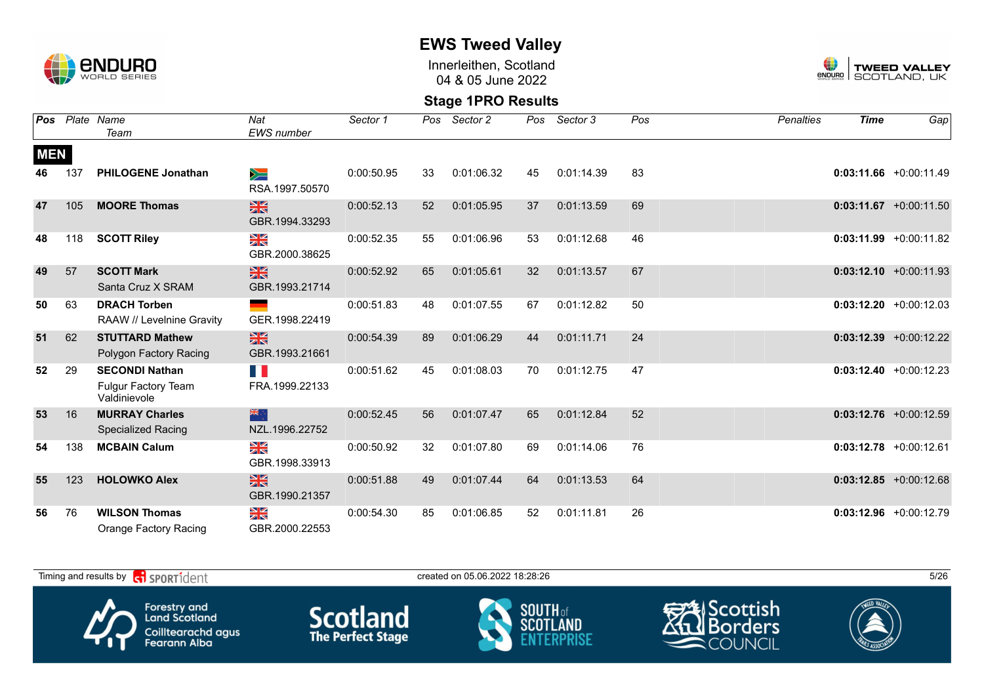

Innerleithen, Scotland 04 & 05 June 2022



### **Stage 1PRO Results**

| <b>Pos</b> |     | Plate Name<br>Team                                                  | Nat<br><b>EWS</b> number        | Sector 1   | Pos | Sector 2   | Pos | Sector 3   | Pos | <b>Penalties</b> | <b>Time</b> | Gap                       |
|------------|-----|---------------------------------------------------------------------|---------------------------------|------------|-----|------------|-----|------------|-----|------------------|-------------|---------------------------|
| <b>MEN</b> |     |                                                                     |                                 |            |     |            |     |            |     |                  |             |                           |
| 46         | 137 | <b>PHILOGENE Jonathan</b>                                           | ₩<br>RSA.1997.50570             | 0:00:50.95 | 33  | 0:01:06.32 | 45  | 0:01:14.39 | 83  |                  |             | $0:03:11.66 + 0:00:11.49$ |
| 47         | 105 | <b>MOORE Thomas</b>                                                 | $\frac{N}{N}$<br>GBR.1994.33293 | 0:00:52.13 | 52  | 0:01:05.95 | 37  | 0:01:13.59 | 69  |                  |             | $0:03:11.67$ +0:00:11.50  |
| 48         | 118 | <b>SCOTT Riley</b>                                                  | ≫<br>X<br>GBR.2000.38625        | 0:00:52.35 | 55  | 0:01:06.96 | 53  | 0:01:12.68 | 46  |                  |             | $0:03:11.99 + 0:00:11.82$ |
| 49         | 57  | <b>SCOTT Mark</b><br>Santa Cruz X SRAM                              | $\frac{N}{N}$<br>GBR.1993.21714 | 0:00:52.92 | 65  | 0:01:05.61 | 32  | 0:01:13.57 | 67  |                  |             | $0:03:12.10 + 0:00:11.93$ |
| 50         | 63  | <b>DRACH Torben</b><br>RAAW // Levelnine Gravity                    | GER.1998.22419                  | 0:00:51.83 | 48  | 0:01:07.55 | 67  | 0:01:12.82 | 50  |                  |             | $0:03:12.20 +0:00:12.03$  |
| 51         | 62  | <b>STUTTARD Mathew</b><br>Polygon Factory Racing                    | $\frac{N}{N}$<br>GBR.1993.21661 | 0:00:54.39 | 89  | 0:01:06.29 | 44  | 0:01:11.71 | 24  |                  |             | $0:03:12.39 +0:00:12.22$  |
| 52         | 29  | <b>SECONDI Nathan</b><br><b>Fulgur Factory Team</b><br>Valdinievole | n K<br>FRA.1999.22133           | 0:00:51.62 | 45  | 0:01:08.03 | 70  | 0:01:12.75 | 47  |                  |             | $0:03:12.40 + 0:00:12.23$ |
| 53         | 16  | <b>MURRAY Charles</b><br><b>Specialized Racing</b>                  | 米心<br>NZL.1996.22752            | 0:00:52.45 | 56  | 0:01:07.47 | 65  | 0:01:12.84 | 52  |                  |             | $0:03:12.76$ +0:00:12.59  |
| 54         | 138 | <b>MCBAIN Calum</b>                                                 | XK<br>ZK<br>GBR.1998.33913      | 0:00:50.92 | 32  | 0:01:07.80 | 69  | 0:01:14.06 | 76  |                  |             | $0:03:12.78$ +0:00:12.61  |
| 55         | 123 | <b>HOLOWKO Alex</b>                                                 | $\frac{N}{N}$<br>GBR.1990.21357 | 0:00:51.88 | 49  | 0:01:07.44 | 64  | 0:01:13.53 | 64  |                  |             | $0:03:12.85 + 0:00:12.68$ |
| 56         | 76  | <b>WILSON Thomas</b><br>Orange Factory Racing                       | ≥k<br>GBR.2000.22553            | 0:00:54.30 | 85  | 0:01:06.85 | 52  | 0:01:11.81 | 26  |                  |             | $0:03:12.96 + 0:00:12.79$ |

Timing and results by  $\overline{c_1}$  SPORT1 $\overline{1}$  dent to the second second of 5.06.2022 18:28:26 5/26 5/26 5/26 Scottish Forestry and<br>Land Scotland **Scotland SOUTH** of orders scot Coilltearachd agus<br>Fearann Alba COUNCIL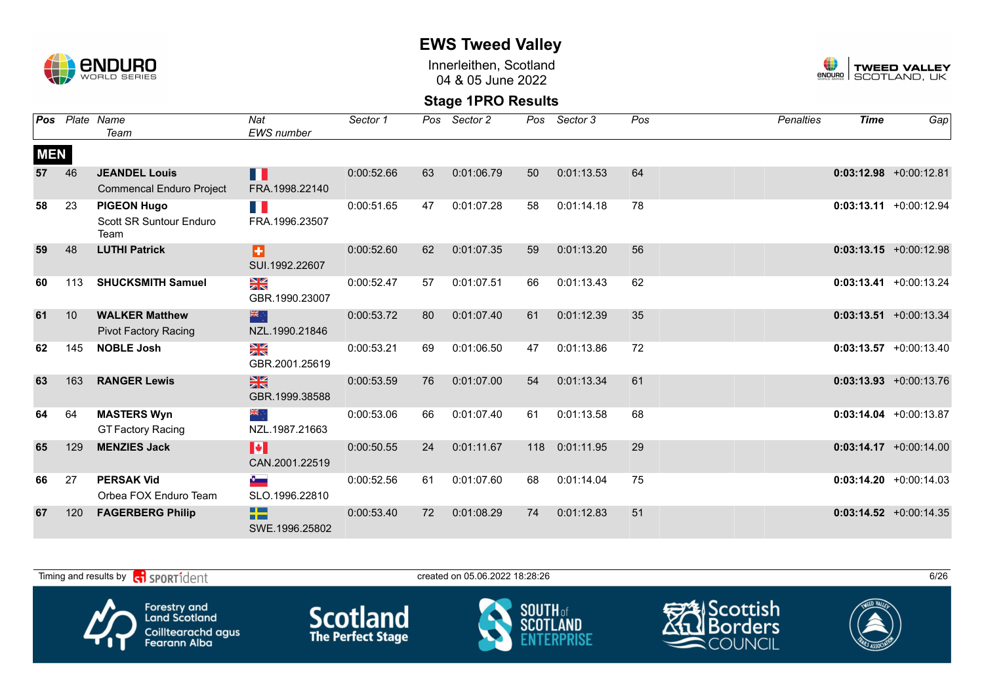

Innerleithen, Scotland 04 & 05 June 2022



| Pos        |     | Plate Name                      | Nat               | Sector 1   | Pos | Sector 2   | Pos | Sector 3   | Pos | <b>Penalties</b> | <b>Time</b> | Gap                       |
|------------|-----|---------------------------------|-------------------|------------|-----|------------|-----|------------|-----|------------------|-------------|---------------------------|
|            |     | Team                            | <b>EWS</b> number |            |     |            |     |            |     |                  |             |                           |
| <b>MEN</b> |     |                                 |                   |            |     |            |     |            |     |                  |             |                           |
| 57         | 46  | <b>JEANDEL Louis</b>            | H                 | 0:00:52.66 | 63  | 0:01:06.79 | 50  | 0:01:13.53 | 64  |                  |             | $0:03:12.98$ +0:00:12.81  |
|            |     | <b>Commencal Enduro Project</b> | FRA.1998.22140    |            |     |            |     |            |     |                  |             |                           |
| 58         | 23  | <b>PIGEON Hugo</b>              | E.                | 0:00:51.65 | 47  | 0:01:07.28 | 58  | 0:01:14.18 | 78  |                  |             | $0:03:13.11 + 0:00:12.94$ |
|            |     | Scott SR Suntour Enduro<br>Team | FRA.1996.23507    |            |     |            |     |            |     |                  |             |                           |
| 59         | 48  | <b>LUTHI Patrick</b>            | B                 | 0:00:52.60 | 62  | 0:01:07.35 | 59  | 0:01:13.20 | 56  |                  |             | $0:03:13.15 + 0:00:12.98$ |
|            |     |                                 | SUI.1992.22607    |            |     |            |     |            |     |                  |             |                           |
| 60         | 113 | <b>SHUCKSMITH Samuel</b>        | ≥k                | 0:00:52.47 | 57  | 0:01:07.51 | 66  | 0:01:13.43 | 62  |                  |             | $0:03:13.41 + 0:00:13.24$ |
|            |     |                                 | GBR.1990.23007    |            |     |            |     |            |     |                  |             |                           |
| 61         | 10  | <b>WALKER Matthew</b>           | 米心                | 0:00:53.72 | 80  | 0:01:07.40 | 61  | 0:01:12.39 | 35  |                  |             | $0:03:13.51 + 0:00:13.34$ |
|            |     | <b>Pivot Factory Racing</b>     | NZL.1990.21846    |            |     |            |     |            |     |                  |             |                           |
| 62         | 145 | <b>NOBLE Josh</b>               | ≫<br>X            | 0:00:53.21 | 69  | 0:01:06.50 | 47  | 0:01:13.86 | 72  |                  |             | $0:03:13.57 + 0:00:13.40$ |
|            |     |                                 | GBR.2001.25619    |            |     |            |     |            |     |                  |             |                           |
| 63         | 163 | <b>RANGER Lewis</b>             | $\frac{N}{N}$     | 0:00:53.59 | 76  | 0:01:07.00 | 54  | 0:01:13.34 | 61  |                  |             | $0:03:13.93 + 0:00:13.76$ |
|            |     |                                 | GBR.1999.38588    |            |     |            |     |            |     |                  |             |                           |
| 64         | 64  | <b>MASTERS Wyn</b>              | ्∶ क्रह           | 0:00:53.06 | 66  | 0:01:07.40 | 61  | 0:01:13.58 | 68  |                  |             | $0:03:14.04$ +0:00:13.87  |
|            |     | <b>GT Factory Racing</b>        | NZL.1987.21663    |            |     |            |     |            |     |                  |             |                           |
| 65         | 129 | <b>MENZIES Jack</b>             | M                 | 0:00:50.55 | 24  | 0:01:11.67 | 118 | 0:01:11.95 | 29  |                  |             | $0:03:14.17 + 0:00:14.00$ |
|            |     |                                 | CAN.2001.22519    |            |     |            |     |            |     |                  |             |                           |
| 66         | 27  | <b>PERSAK Vid</b>               | $\bullet$         | 0:00:52.56 | 61  | 0:01:07.60 | 68  | 0:01:14.04 | 75  |                  |             | $0:03:14.20 +0:00:14.03$  |
|            |     | Orbea FOX Enduro Team           | SLO.1996.22810    |            |     |            |     |            |     |                  |             |                           |
| 67         | 120 | <b>FAGERBERG Philip</b>         | H۳                | 0:00:53.40 | 72  | 0:01:08.29 | 74  | 0:01:12.83 | 51  |                  |             | $0:03:14.52 +0:00:14.35$  |
|            |     |                                 | SWE.1996.25802    |            |     |            |     |            |     |                  |             |                           |

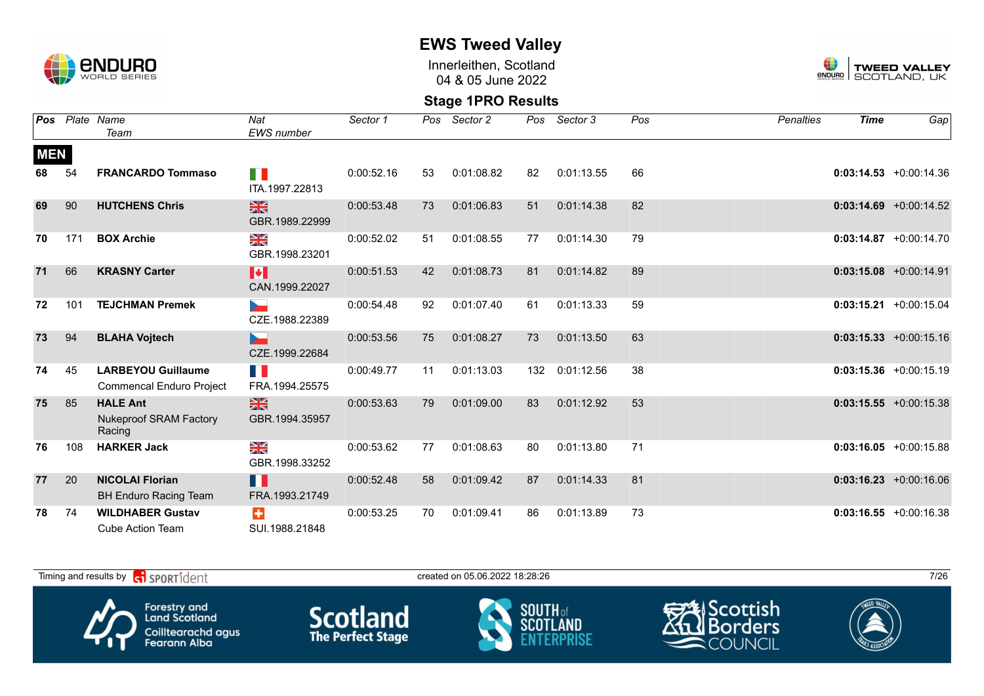

Innerleithen, Scotland 04 & 05 June 2022



| Pos        |     | Plate Name                                                   | Nat                             | Sector 1   | Pos | Sector 2   | Pos | Sector 3   | Pos | <b>Penalties</b> | <b>Time</b> | Gap                       |
|------------|-----|--------------------------------------------------------------|---------------------------------|------------|-----|------------|-----|------------|-----|------------------|-------------|---------------------------|
|            |     | Team                                                         | EWS number                      |            |     |            |     |            |     |                  |             |                           |
| <b>MEN</b> |     |                                                              |                                 |            |     |            |     |            |     |                  |             |                           |
| 68         | 54  | <b>FRANCARDO Tommaso</b>                                     | n e<br>ITA.1997.22813           | 0:00:52.16 | 53  | 0:01:08.82 | 82  | 0:01:13.55 | 66  |                  |             | $0:03:14.53 + 0:00:14.36$ |
| 69         | 90  | <b>HUTCHENS Chris</b>                                        | $\frac{N}{N}$<br>GBR.1989.22999 | 0:00:53.48 | 73  | 0:01:06.83 | 51  | 0:01:14.38 | 82  |                  |             | $0:03:14.69$ +0:00:14.52  |
| 70         | 171 | <b>BOX Archie</b>                                            | NK<br>ZK<br>GBR.1998.23201      | 0:00:52.02 | 51  | 0:01:08.55 | 77  | 0:01:14.30 | 79  |                  |             | $0:03:14.87$ +0:00:14.70  |
| 71         | 66  | <b>KRASNY Carter</b>                                         | M<br>CAN.1999.22027             | 0:00:51.53 | 42  | 0:01:08.73 | 81  | 0:01:14.82 | 89  |                  |             | $0:03:15.08$ +0:00:14.91  |
| 72         | 101 | <b>TEJCHMAN Premek</b>                                       | CZE.1988.22389                  | 0:00:54.48 | 92  | 0:01:07.40 | 61  | 0:01:13.33 | 59  |                  |             | $0:03:15.21 + 0:00:15.04$ |
| 73         | 94  | <b>BLAHA Vojtech</b>                                         | CZE.1999.22684                  | 0:00:53.56 | 75  | 0:01:08.27 | 73  | 0:01:13.50 | 63  |                  |             | $0:03:15.33 + 0:00:15.16$ |
| 74         | 45  | <b>LARBEYOU Guillaume</b><br><b>Commencal Enduro Project</b> | H.<br>FRA.1994.25575            | 0:00:49.77 | 11  | 0:01:13.03 | 132 | 0:01:12.56 | 38  |                  |             | $0:03:15.36 + 0:00:15.19$ |
| 75         | 85  | <b>HALE Ant</b><br><b>Nukeproof SRAM Factory</b><br>Racing   | $\frac{N}{N}$<br>GBR.1994.35957 | 0:00:53.63 | 79  | 0:01:09.00 | 83  | 0:01:12.92 | 53  |                  |             | $0:03:15.55 + 0:00:15.38$ |
| 76         | 108 | <b>HARKER Jack</b>                                           | ≥k<br>GBR.1998.33252            | 0:00:53.62 | 77  | 0:01:08.63 | 80  | 0:01:13.80 | 71  |                  |             | $0:03:16.05 +0:00:15.88$  |
| 77         | 20  | <b>NICOLAI Florian</b><br><b>BH Enduro Racing Team</b>       | H<br>FRA.1993.21749             | 0:00:52.48 | 58  | 0:01:09.42 | 87  | 0:01:14.33 | 81  |                  |             | $0:03:16.23 + 0:00:16.06$ |
| 78         | 74  | <b>WILDHABER Gustav</b><br><b>Cube Action Team</b>           | ÷<br>SUI.1988.21848             | 0:00:53.25 | 70  | 0:01:09.41 | 86  | 0:01:13.89 | 73  |                  |             | $0:03:16.55 + 0:00:16.38$ |

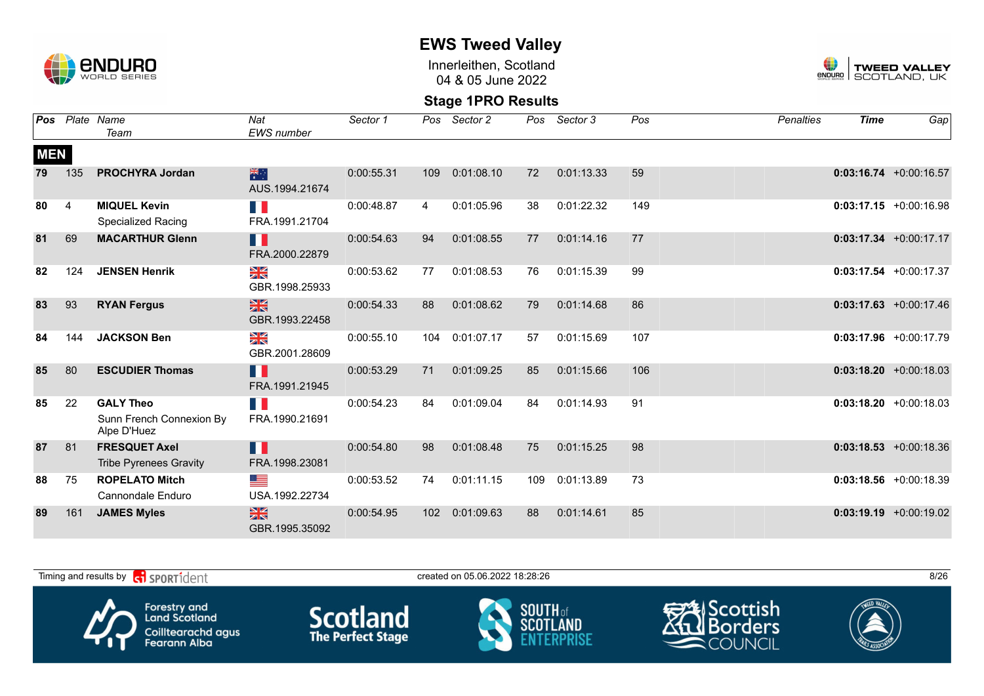

Innerleithen, Scotland 04 & 05 June 2022



|            |                | Pos Plate Name                                              | Nat                             | Sector 1   | Pos              | Sector 2   |     | Pos Sector 3 | Pos | <b>Penalties</b> | <b>Time</b> | Gap                       |
|------------|----------------|-------------------------------------------------------------|---------------------------------|------------|------------------|------------|-----|--------------|-----|------------------|-------------|---------------------------|
|            |                | Team                                                        | <b>EWS</b> number               |            |                  |            |     |              |     |                  |             |                           |
| <b>MEN</b> |                |                                                             |                                 |            |                  |            |     |              |     |                  |             |                           |
| 79         | 135            | <b>PROCHYRA Jordan</b>                                      | 米村<br>AUS.1994.21674            | 0:00:55.31 | 109              | 0:01:08.10 | 72  | 0:01:13.33   | 59  |                  |             | $0:03:16.74 +0:00:16.57$  |
| 80         | $\overline{4}$ | <b>MIQUEL Kevin</b><br>Specialized Racing                   | E.<br>FRA.1991.21704            | 0:00:48.87 | 4                | 0:01:05.96 | 38  | 0:01:22.32   | 149 |                  |             | $0:03:17.15 + 0:00:16.98$ |
| 81         | 69             | <b>MACARTHUR Glenn</b>                                      | H<br>FRA.2000.22879             | 0:00:54.63 | 94               | 0:01:08.55 | 77  | 0:01:14.16   | 77  |                  |             | $0:03:17.34 + 0:00:17.17$ |
| 82         | 124            | <b>JENSEN Henrik</b>                                        | ≥k<br>GBR.1998.25933            | 0:00:53.62 | 77               | 0:01:08.53 | 76  | 0:01:15.39   | 99  |                  |             | $0:03:17.54$ +0:00:17.37  |
| 83         | 93             | <b>RYAN Fergus</b>                                          | $\frac{N}{N}$<br>GBR.1993.22458 | 0:00:54.33 | 88               | 0:01:08.62 | 79  | 0:01:14.68   | 86  |                  |             | $0:03:17.63 + 0:00:17.46$ |
| 84         | 144            | <b>JACKSON Ben</b>                                          | N<br>X<br>GBR.2001.28609        | 0:00:55.10 | 104              | 0:01:07.17 | 57  | 0:01:15.69   | 107 |                  |             | $0:03:17.96$ +0:00:17.79  |
| 85         | 80             | <b>ESCUDIER Thomas</b>                                      | Ш<br>FRA.1991.21945             | 0:00:53.29 | 71               | 0:01:09.25 | 85  | 0:01:15.66   | 106 |                  |             | $0:03:18.20 + 0:00:18.03$ |
| 85         | 22             | <b>GALY Theo</b><br>Sunn French Connexion By<br>Alpe D'Huez | H.<br>FRA.1990.21691            | 0:00:54.23 | 84               | 0:01:09.04 | 84  | 0:01:14.93   | 91  |                  |             | $0:03:18.20 + 0:00:18.03$ |
| 87         | 81             | <b>FRESQUET Axel</b><br><b>Tribe Pyrenees Gravity</b>       | H<br>FRA.1998.23081             | 0:00:54.80 | 98               | 0:01:08.48 | 75  | 0:01:15.25   | 98  |                  |             | $0:03:18.53 + 0:00:18.36$ |
| 88         | 75             | <b>ROPELATO Mitch</b><br>Cannondale Enduro                  | <u>est</u><br>USA.1992.22734    | 0:00:53.52 | 74               | 0:01:11.15 | 109 | 0:01:13.89   | 73  |                  |             | $0:03:18.56 + 0:00:18.39$ |
| 89         | 161            | <b>JAMES Myles</b>                                          | $\frac{N}{N}$<br>GBR.1995.35092 | 0:00:54.95 | 102 <sub>2</sub> | 0:01:09.63 | 88  | 0:01:14.61   | 85  |                  |             | $0:03:19.19 + 0:00:19.02$ |

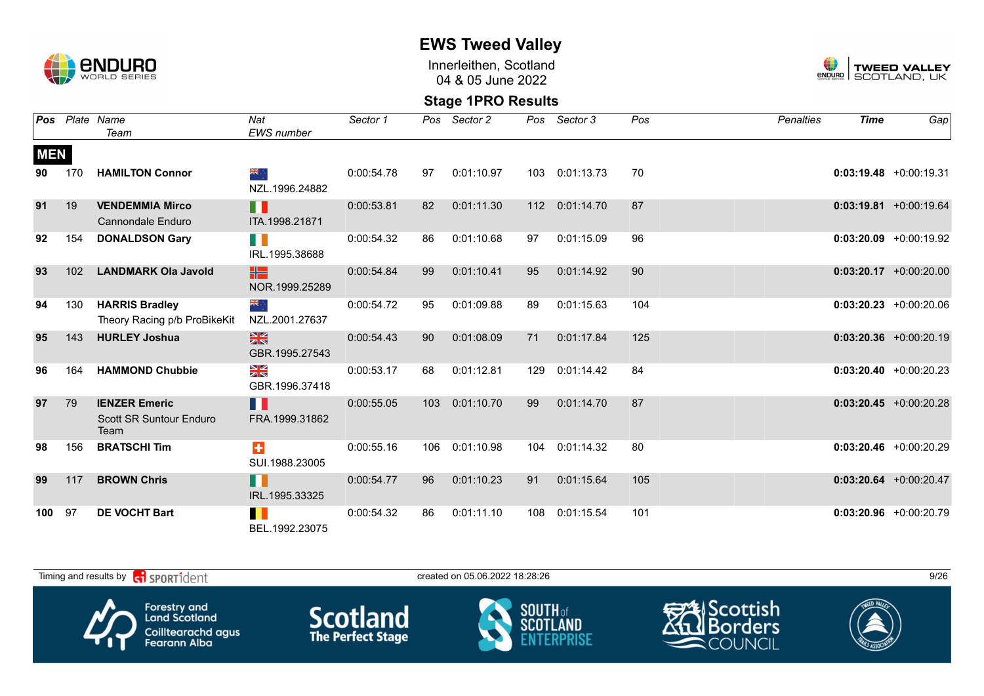

Innerleithen, Scotland 04 & 05 June 2022



|            |     | Pos Plate Name                                          | Nat                             | Sector 1   |                  | Pos Sector 2 |     | Pos Sector 3 | Pos | <b>Penalties</b> | <b>Time</b> | Gap                       |
|------------|-----|---------------------------------------------------------|---------------------------------|------------|------------------|--------------|-----|--------------|-----|------------------|-------------|---------------------------|
|            |     | Team                                                    | EWS number                      |            |                  |              |     |              |     |                  |             |                           |
| <b>MEN</b> |     |                                                         |                                 |            |                  |              |     |              |     |                  |             |                           |
| 90         | 170 | <b>HAMILTON Connor</b>                                  | ang ∴<br>NZL.1996.24882         | 0:00:54.78 | 97               | 0:01:10.97   | 103 | 0:01:13.73   | 70  |                  |             | $0:03:19.48$ +0:00:19.31  |
| 91         | 19  | <b>VENDEMMIA Mirco</b><br>Cannondale Enduro             | H<br>ITA.1998.21871             | 0:00:53.81 | 82               | 0:01:11.30   | 112 | 0:01:14.70   | 87  |                  |             | $0:03:19.81 + 0:00:19.64$ |
| 92         | 154 | <b>DONALDSON Gary</b>                                   | H I<br>IRL.1995.38688           | 0:00:54.32 | 86               | 0:01:10.68   | 97  | 0:01:15.09   | 96  |                  |             | $0:03:20.09$ +0:00:19.92  |
| 93         | 102 | <b>LANDMARK Ola Javold</b>                              | HS.<br>NOR.1999.25289           | 0:00:54.84 | 99               | 0:01:10.41   | 95  | 0:01:14.92   | 90  |                  |             | $0:03:20.17$ +0:00:20.00  |
| 94         | 130 | <b>HARRIS Bradley</b><br>Theory Racing p/b ProBikeKit   | ्∶ क्रें≰<br>NZL.2001.27637     | 0:00:54.72 | 95               | 0:01:09.88   | 89  | 0:01:15.63   | 104 |                  |             | $0:03:20.23 + 0:00:20.06$ |
| 95         | 143 | <b>HURLEY Joshua</b>                                    | $\frac{N}{N}$<br>GBR.1995.27543 | 0:00:54.43 | 90               | 0:01:08.09   | 71  | 0:01:17.84   | 125 |                  |             | $0:03:20.36$ +0:00:20.19  |
| 96         | 164 | <b>HAMMOND Chubbie</b>                                  | ≥k<br>GBR.1996.37418            | 0:00:53.17 | 68               | 0:01:12.81   | 129 | 0:01:14.42   | 84  |                  |             | $0:03:20.40 +0:00:20.23$  |
| 97         | 79  | <b>IENZER Emeric</b><br>Scott SR Suntour Enduro<br>Team | H<br>FRA.1999.31862             | 0:00:55.05 | 103 <sub>1</sub> | 0:01:10.70   | 99  | 0:01:14.70   | 87  |                  |             | $0:03:20.45$ +0:00:20.28  |
| 98         | 156 | <b>BRATSCHI Tim</b>                                     | $\ddot{}$<br>SUI.1988.23005     | 0:00:55.16 | 106              | 0:01:10.98   | 104 | 0:01:14.32   | 80  |                  |             | $0:03:20.46$ +0:00:20.29  |
| 99         | 117 | <b>BROWN Chris</b>                                      | H<br>IRL.1995.33325             | 0:00:54.77 | 96               | 0:01:10.23   | 91  | 0:01:15.64   | 105 |                  |             | $0:03:20.64$ +0:00:20.47  |
| 100        | 97  | <b>DE VOCHT Bart</b>                                    | BEL.1992.23075                  | 0:00:54.32 | 86               | 0:01:11.10   | 108 | 0:01:15.54   | 101 |                  |             | $0:03:20.96$ +0:00:20.79  |

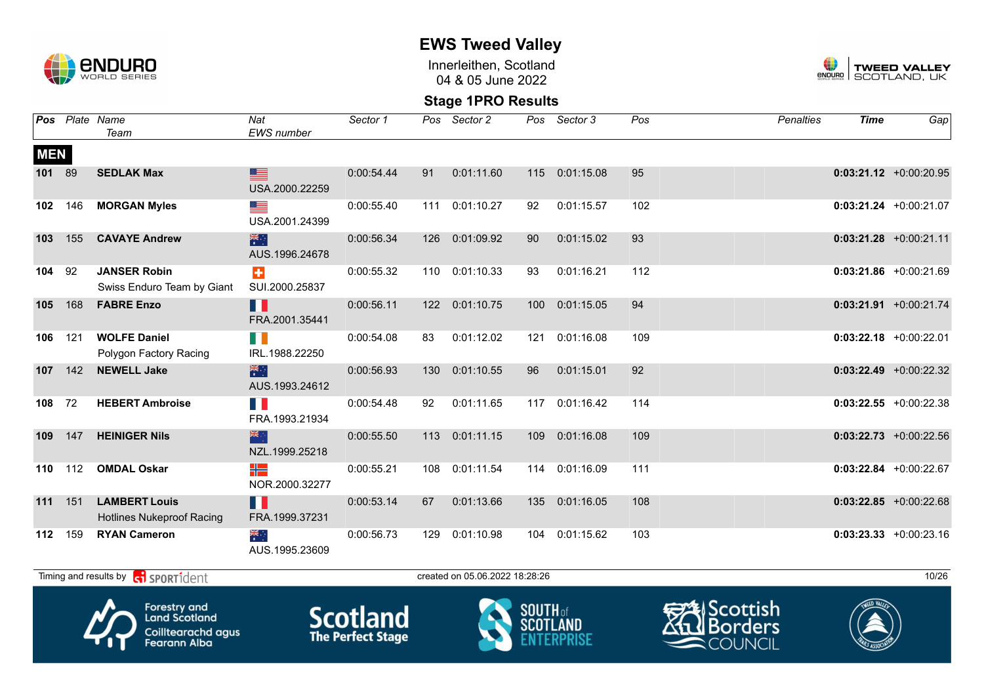

Innerleithen, Scotland 04 & 05 June 2022



#### **Stage 1PRO Results**

|            |     | Pos Plate Name<br>Team                                   | Nat<br><b>EWS</b> number    | Sector 1   | Pos | Sector 2                       | Pos | Sector 3   | Pos | Penalties      | <b>Time</b> | Gap                       |
|------------|-----|----------------------------------------------------------|-----------------------------|------------|-----|--------------------------------|-----|------------|-----|----------------|-------------|---------------------------|
| <b>MEN</b> |     |                                                          |                             |            |     |                                |     |            |     |                |             |                           |
| 101 89     |     | <b>SEDLAK Max</b>                                        | E<br>USA.2000.22259         | 0:00:54.44 | 91  | 0:01:11.60                     | 115 | 0:01:15.08 | 95  |                |             | $0:03:21.12$ +0:00:20.95  |
| 102        | 146 | <b>MORGAN Myles</b>                                      | ▀▀<br>USA.2001.24399        | 0:00:55.40 | 111 | 0:01:10.27                     | 92  | 0:01:15.57 | 102 |                |             | $0:03:21.24 + 0:00:21.07$ |
| 103        | 155 | <b>CAVAYE Andrew</b>                                     | 米<br>AUS.1996.24678         | 0:00:56.34 | 126 | 0:01:09.92                     | 90  | 0:01:15.02 | 93  |                |             | $0:03:21.28$ +0:00:21.11  |
| 104        | 92  | <b>JANSER Robin</b><br>Swiss Enduro Team by Giant        | $\bullet$<br>SUI.2000.25837 | 0:00:55.32 | 110 | 0:01:10.33                     | 93  | 0:01:16.21 | 112 |                |             | $0:03:21.86$ +0:00:21.69  |
| 105        | 168 | <b>FABRE Enzo</b>                                        | H<br>FRA.2001.35441         | 0:00:56.11 |     | 122 0:01:10.75                 | 100 | 0:01:15.05 | 94  |                |             | $0:03:21.91$ +0:00:21.74  |
| 106        | 121 | <b>WOLFE Daniel</b><br>Polygon Factory Racing            | a N<br>IRL.1988.22250       | 0:00:54.08 | 83  | 0:01:12.02                     | 121 | 0:01:16.08 | 109 |                |             | $0:03:22.18$ +0:00:22.01  |
| 107        | 142 | <b>NEWELL Jake</b>                                       | 米<br>AUS.1993.24612         | 0:00:56.93 | 130 | 0:01:10.55                     | 96  | 0:01:15.01 | 92  |                |             | $0:03:22.49$ +0:00:22.32  |
| 108        | 72  | <b>HEBERT Ambroise</b>                                   | T.<br>FRA.1993.21934        | 0:00:54.48 | 92  | 0:01:11.65                     | 117 | 0:01:16.42 | 114 |                |             | $0:03:22.55$ +0:00:22.38  |
| 109        | 147 | <b>HEINIGER Nils</b>                                     | 米<br>NZL.1999.25218         | 0:00:55.50 | 113 | 0:01:11.15                     | 109 | 0:01:16.08 | 109 |                |             | $0:03:22.73$ +0:00:22.56  |
| 110        | 112 | <b>OMDAL Oskar</b>                                       | ╬═<br>NOR.2000.32277        | 0:00:55.21 | 108 | 0:01:11.54                     | 114 | 0:01:16.09 | 111 |                |             | $0:03:22.84$ +0:00:22.67  |
| 111        | 151 | <b>LAMBERT Louis</b><br><b>Hotlines Nukeproof Racing</b> | H.<br>FRA.1999.37231        | 0:00:53.14 | 67  | 0:01:13.66                     | 135 | 0:01:16.05 | 108 |                |             | $0:03:22.85$ +0:00:22.68  |
| 112        | 159 | <b>RYAN Cameron</b>                                      | ्हें<br>AUS.1995.23609      | 0:00:56.73 | 129 | 0:01:10.98                     | 104 | 0:01:15.62 | 103 |                |             | $0:03:23.33 + 0:00:23.16$ |
|            |     | Timing and results by contrident                         |                             |            |     | created on 05.06.2022 18:28:26 |     |            |     |                |             | 10/26                     |
|            |     | $\blacksquare$                                           |                             |            |     | $\bullet$ $\bullet$            |     |            |     | $\overline{a}$ |             |                           |









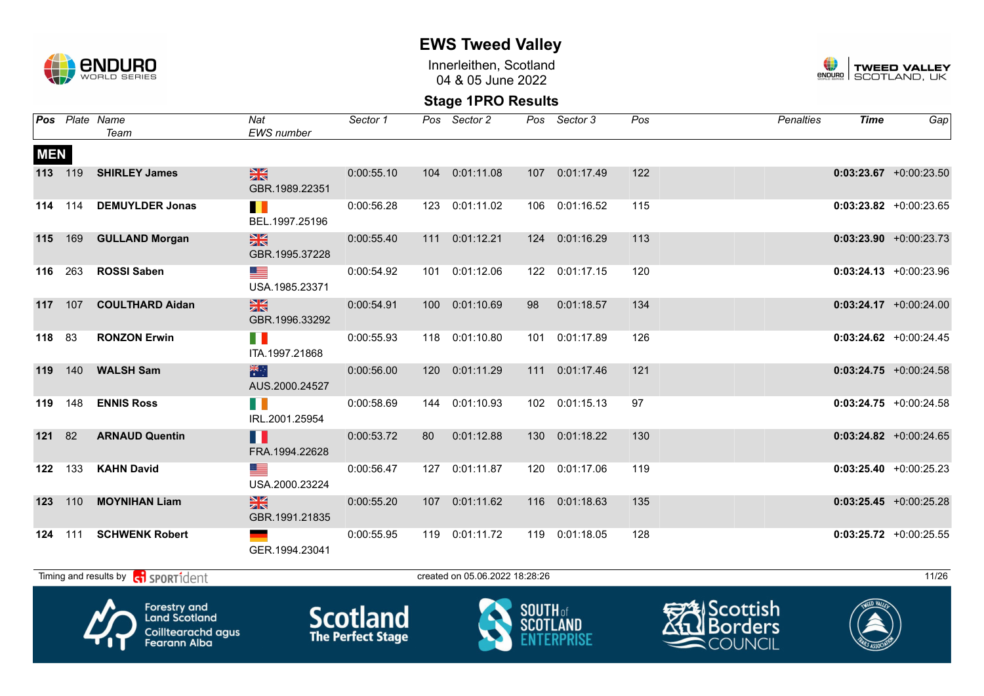

Innerleithen, Scotland 04 & 05 June 2022



|            |         | Pos Plate Name<br>Team                                                            | Nat<br><b>EWS</b> number        | Sector 1                                    |     | Pos Sector 2                   |                  | Pos Sector 3   | Pos | <b>Penalties</b>                                              | <b>Time</b> | Gap                       |
|------------|---------|-----------------------------------------------------------------------------------|---------------------------------|---------------------------------------------|-----|--------------------------------|------------------|----------------|-----|---------------------------------------------------------------|-------------|---------------------------|
| <b>MEN</b> |         |                                                                                   |                                 |                                             |     |                                |                  |                |     |                                                               |             |                           |
| 113 119    |         | <b>SHIRLEY James</b>                                                              | $\frac{N}{N}$<br>GBR.1989.22351 | 0:00:55.10                                  |     | 104 0:01:11.08                 | 107              | 0:01:17.49     | 122 |                                                               |             | $0:03:23.67$ +0:00:23.50  |
| 114 114    |         | <b>DEMUYLDER Jonas</b>                                                            | H<br>BEL.1997.25196             | 0:00:56.28                                  |     | 123 0:01:11.02                 |                  | 106 0:01:16.52 | 115 |                                                               |             | $0:03:23.82$ +0:00:23.65  |
| 115        | 169     | <b>GULLAND Morgan</b>                                                             | ※<br>GBR.1995.37228             | 0:00:55.40                                  |     | 111 0:01:12.21                 | 124              | 0:01:16.29     | 113 |                                                               |             | $0:03:23.90 +0:00:23.73$  |
| 116        | 263     | <b>ROSSI Saben</b>                                                                | <u> and</u><br>USA.1985.23371   | 0:00:54.92                                  |     | 101 0:01:12.06                 |                  | 122 0:01:17.15 | 120 |                                                               |             | $0:03:24.13 + 0:00:23.96$ |
| 117        | 107     | <b>COULTHARD Aidan</b>                                                            | $\frac{N}{N}$<br>GBR.1996.33292 | 0:00:54.91                                  |     | 100 0:01:10.69                 | 98               | 0:01:18.57     | 134 |                                                               |             | $0:03:24.17$ +0:00:24.00  |
| 118 83     |         | <b>RONZON Erwin</b>                                                               | TI B<br>ITA.1997.21868          | 0:00:55.93                                  |     | 118 0:01:10.80                 | 101              | 0:01:17.89     | 126 |                                                               |             | $0:03:24.62$ +0:00:24.45  |
| 119        | 140     | <b>WALSH Sam</b>                                                                  | 米<br>AUS.2000.24527             | 0:00:56.00                                  |     | 120 0:01:11.29                 | 111              | 0:01:17.46     | 121 |                                                               |             | $0:03:24.75$ +0:00:24.58  |
| 119        | 148     | <b>ENNIS Ross</b>                                                                 | H N<br>IRL.2001.25954           | 0:00:58.69                                  | 144 | 0:01:10.93                     | 102              | 0:01:15.13     | 97  |                                                               |             | $0:03:24.75$ +0:00:24.58  |
| 121 82     |         | <b>ARNAUD Quentin</b>                                                             | ╻╻<br>FRA.1994.22628            | 0:00:53.72                                  | 80  | 0:01:12.88                     | 130 <sup>°</sup> | 0:01:18.22     | 130 |                                                               |             | $0:03:24.82$ +0:00:24.65  |
| 122        | 133     | <b>KAHN David</b>                                                                 | ▀<br>USA.2000.23224             | 0:00:56.47                                  | 127 | 0:01:11.87                     | 120              | 0:01:17.06     | 119 |                                                               |             | $0:03:25.40 +0:00:25.23$  |
| 123        | 110     | <b>MOYNIHAN Liam</b>                                                              | $\frac{N}{N}$<br>GBR.1991.21835 | 0:00:55.20                                  |     | 107  0:01:11.62                | 116              | 0:01:18.63     | 135 |                                                               |             | $0:03:25.45 + 0:00:25.28$ |
|            | 124 111 | <b>SCHWENK Robert</b>                                                             | GER.1994.23041                  | 0:00:55.95                                  |     | 119  0:01:11.72                |                  | 119 0:01:18.05 | 128 |                                                               |             | $0:03:25.72$ +0:00:25.55  |
|            |         | Timing and results by contract of the SPORT1 dent                                 |                                 |                                             |     | created on 05.06.2022 18:28:26 |                  |                |     |                                                               |             | 11/26                     |
|            |         | Forestry and<br><b>Land Scotland</b><br>Coilltearachd agus<br><b>Fearann Alba</b> |                                 | <b>Scotland</b><br><b>The Perfect Stage</b> |     |                                | <b>SOUTH</b> of  |                |     | <b>Scottish</b><br><b>W</b> Borders<br>$\blacksquare$ COUNCIL |             |                           |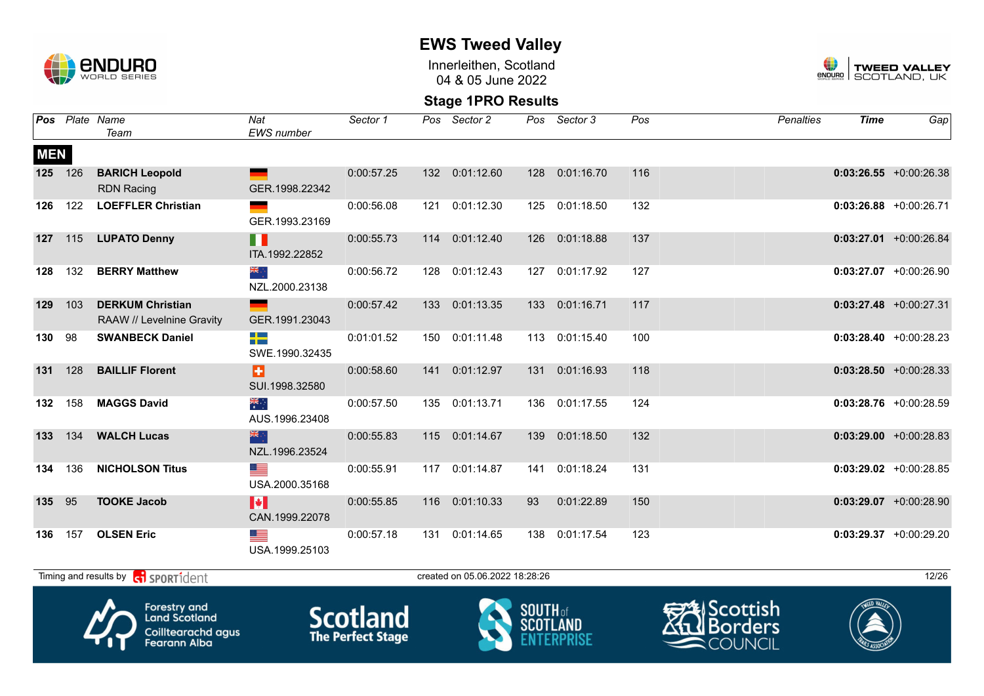

Innerleithen, Scotland 04 & 05 June 2022



|            |     | Pos Plate Name<br>Team                                                            | Nat<br>EWS number            | Sector 1                                    |     | Pos Sector 2                   |                 | Pos Sector 3   | Pos | <b>Penalties</b>                                        | <b>Time</b> | Gap                       |
|------------|-----|-----------------------------------------------------------------------------------|------------------------------|---------------------------------------------|-----|--------------------------------|-----------------|----------------|-----|---------------------------------------------------------|-------------|---------------------------|
| <b>MEN</b> |     |                                                                                   |                              |                                             |     |                                |                 |                |     |                                                         |             |                           |
| 125 126    |     | <b>BARICH Leopold</b><br><b>RDN Racing</b>                                        | GER.1998.22342               | 0:00:57.25                                  |     | 132 0:01:12.60                 | 128             | 0:01:16.70     | 116 |                                                         |             | $0:03:26.55 + 0:00:26.38$ |
| 126        | 122 | <b>LOEFFLER Christian</b>                                                         | GER.1993.23169               | 0:00:56.08                                  |     | 121 0:01:12.30                 |                 | 125 0:01:18.50 | 132 |                                                         |             | $0:03:26.88$ +0:00:26.71  |
| 127        | 115 | <b>LUPATO Denny</b>                                                               | H<br>ITA.1992.22852          | 0:00:55.73                                  | 114 | 0:01:12.40                     | 126             | 0:01:18.88     | 137 |                                                         |             | $0:03:27.01$ +0:00:26.84  |
| 128        | 132 | <b>BERRY Matthew</b>                                                              | ‱<br>NZL.2000.23138          | 0:00:56.72                                  | 128 | 0:01:12.43                     |                 | 127 0:01:17.92 | 127 |                                                         |             | $0:03:27.07$ +0:00:26.90  |
| 129        | 103 | <b>DERKUM Christian</b><br>RAAW // Levelnine Gravity                              | GER.1991.23043               | 0:00:57.42                                  |     | 133 0:01:13.35                 | 133             | 0:01:16.71     | 117 |                                                         |             | $0:03:27.48$ +0:00:27.31  |
| 130 98     |     | <b>SWANBECK Daniel</b>                                                            | -12<br>SWE.1990.32435        | 0:01:01.52                                  | 150 | 0:01:11.48                     |                 | 113 0:01:15.40 | 100 |                                                         |             | $0:03:28.40 + 0:00:28.23$ |
| 131        | 128 | <b>BAILLIF Florent</b>                                                            | Ð<br>SUI.1998.32580          | 0:00:58.60                                  |     | 141 0:01:12.97                 | 131             | 0:01:16.93     | 118 |                                                         |             | $0:03:28.50 + 0:00:28.33$ |
| 132        | 158 | <b>MAGGS David</b>                                                                | ≫.<br>∗<br>AUS.1996.23408    | 0:00:57.50                                  | 135 | 0:01:13.71                     | 136             | 0:01:17.55     | 124 |                                                         |             | $0:03:28.76$ +0:00:28.59  |
| 133        | 134 | <b>WALCH Lucas</b>                                                                | 米<br>NZL.1996.23524          | 0:00:55.83                                  |     | 115 0:01:14.67                 | 139             | 0:01:18.50     | 132 |                                                         |             | $0:03:29.00$ +0:00:28.83  |
| 134        | 136 | <b>NICHOLSON Titus</b>                                                            | ▀▀<br>USA.2000.35168         | 0:00:55.91                                  |     | 117 0:01:14.87                 | 141             | 0:01:18.24     | 131 |                                                         |             | $0:03:29.02$ +0:00:28.85  |
| 135        | 95  | <b>TOOKE Jacob</b>                                                                | H<br>CAN.1999.22078          | 0:00:55.85                                  |     | 116 0:01:10.33                 | 93              | 0:01:22.89     | 150 |                                                         |             | $0:03:29.07$ +0:00:28.90  |
| 136        | 157 | <b>OLSEN Eric</b>                                                                 | <u>est</u><br>USA.1999.25103 | 0:00:57.18                                  |     | 131 0:01:14.65                 |                 | 138 0:01:17.54 | 123 |                                                         |             | $0:03:29.37$ +0:00:29.20  |
|            |     | Timing and results by <b>container that the SPORT1</b> dent                       |                              |                                             |     | created on 05.06.2022 18:28:26 |                 |                |     |                                                         |             | 12/26                     |
|            |     | <b>Forestry and</b><br><b>Land Scotland</b><br>Coilltearachd agus<br>Fearann Alba |                              | <b>Scotland</b><br><b>The Perfect Stage</b> |     |                                | <b>SOUTH</b> of |                |     | <b>2</b> lScottish<br><b>】Borders</b><br><b>COUNCIL</b> |             |                           |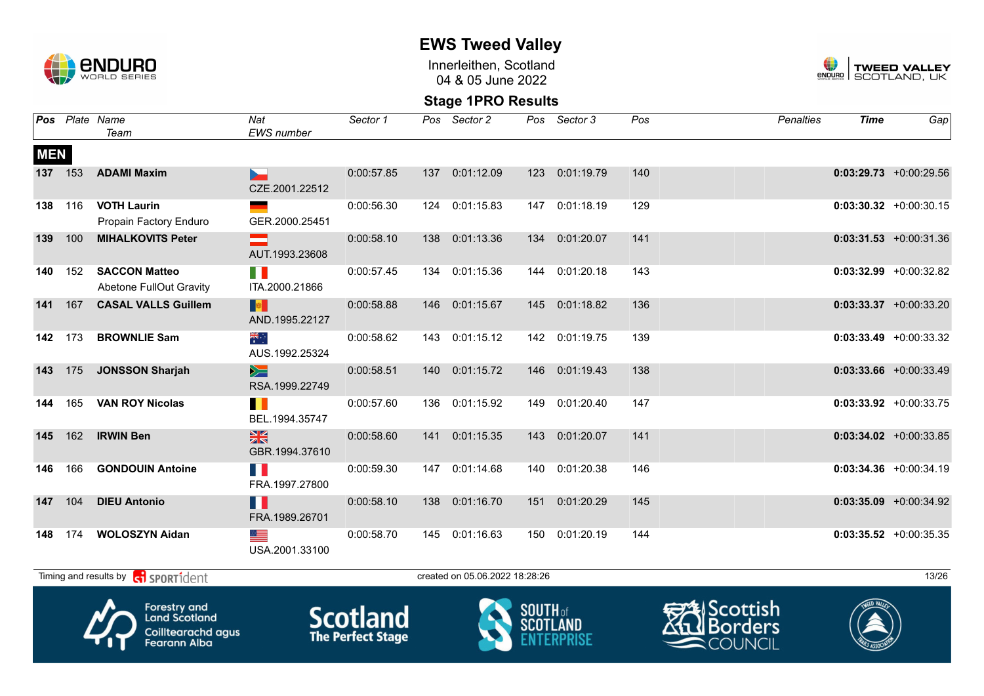

Innerleithen, Scotland 04 & 05 June 2022



| Pos        |     | Plate Name<br>Team                                                                | Nat<br><b>EWS</b> number        | Sector 1                                    | Pos | Sector 2                       |                                 | Pos Sector 3 | Pos | <b>Penalties</b>                                | <b>Time</b> | Gap                       |
|------------|-----|-----------------------------------------------------------------------------------|---------------------------------|---------------------------------------------|-----|--------------------------------|---------------------------------|--------------|-----|-------------------------------------------------|-------------|---------------------------|
| <b>MEN</b> |     |                                                                                   |                                 |                                             |     |                                |                                 |              |     |                                                 |             |                           |
| 137        | 153 | <b>ADAMI Maxim</b>                                                                | Ъ-<br>CZE.2001.22512            | 0:00:57.85                                  |     | 137 0:01:12.09                 | 123                             | 0:01:19.79   | 140 |                                                 |             | $0:03:29.73$ +0:00:29.56  |
| 138        | 116 | <b>VOTH Laurin</b><br>Propain Factory Enduro                                      | GER.2000.25451                  | 0:00:56.30                                  |     | 124 0:01:15.83                 | 147                             | 0:01:18.19   | 129 |                                                 |             | $0:03:30.32 +0:00:30.15$  |
| 139        | 100 | <b>MIHALKOVITS Peter</b>                                                          | AUT.1993.23608                  | 0:00:58.10                                  | 138 | 0:01:13.36                     | 134                             | 0:01:20.07   | 141 |                                                 |             | $0:03:31.53$ +0:00:31.36  |
| 140        | 152 | <b>SACCON Matteo</b><br>Abetone FullOut Gravity                                   | FI N<br>ITA.2000.21866          | 0:00:57.45                                  | 134 | 0:01:15.36                     | 144                             | 0:01:20.18   | 143 |                                                 |             | $0:03:32.99 +0:00:32.82$  |
| 141        | 167 | <b>CASAL VALLS Guillem</b>                                                        | AND.1995.22127                  | 0:00:58.88                                  | 146 | 0:01:15.67                     | 145                             | 0:01:18.82   | 136 |                                                 |             | $0:03:33.37 +0:00:33.20$  |
| 142        | 173 | <b>BROWNLIE Sam</b>                                                               | ैं<br>AUS.1992.25324            | 0:00:58.62                                  |     | 143 0:01:15.12                 | 142                             | 0:01:19.75   | 139 |                                                 |             | $0:03:33.49 + 0:00:33.32$ |
| 143        | 175 | <b>JONSSON Sharjah</b>                                                            | $\geqslant$<br>RSA.1999.22749   | 0:00:58.51                                  |     | 140 0:01:15.72                 | 146                             | 0:01:19.43   | 138 |                                                 |             | $0:03:33.66$ +0:00:33.49  |
| 144        | 165 | <b>VAN ROY Nicolas</b>                                                            | п<br>BEL.1994.35747             | 0:00:57.60                                  | 136 | 0:01:15.92                     | 149                             | 0:01:20.40   | 147 |                                                 |             | $0:03:33.92$ +0:00:33.75  |
| 145        | 162 | <b>IRWIN Ben</b>                                                                  | $\frac{N}{N}$<br>GBR.1994.37610 | 0:00:58.60                                  | 141 | 0:01:15.35                     | 143                             | 0:01:20.07   | 141 |                                                 |             | $0:03:34.02 +0:00:33.85$  |
| 146        | 166 | <b>GONDOUIN Antoine</b>                                                           | M.<br>FRA.1997.27800            | 0:00:59.30                                  | 147 | 0:01:14.68                     | 140                             | 0:01:20.38   | 146 |                                                 |             | $0:03:34.36 + 0:00:34.19$ |
| 147        | 104 | <b>DIEU Antonio</b>                                                               | Ш<br>FRA.1989.26701             | 0:00:58.10                                  | 138 | 0:01:16.70                     | 151                             | 0:01:20.29   | 145 |                                                 |             | $0:03:35.09$ +0:00:34.92  |
| 148        | 174 | <b>WOLOSZYN Aidan</b>                                                             | g<br>USA.2001.33100             | 0:00:58.70                                  |     | 145 0:01:16.63                 | 150                             | 0:01:20.19   | 144 |                                                 |             | $0:03:35.52 + 0:00:35.35$ |
|            |     | Timing and results by <b>containst SPORT1</b> dent                                |                                 |                                             |     | created on 05.06.2022 18:28:26 |                                 |              |     |                                                 |             | 13/26                     |
|            |     | <b>Forestry and</b><br><b>Land Scotland</b><br>Coilltearachd agus<br>Fearann Alba |                                 | <b>Scotland</b><br><b>The Perfect Stage</b> |     |                                | <b>SOUTH</b> of<br><b>SCOTL</b> |              |     | وا Scottish<br><b>Borders</b><br><b>COUNCIL</b> |             |                           |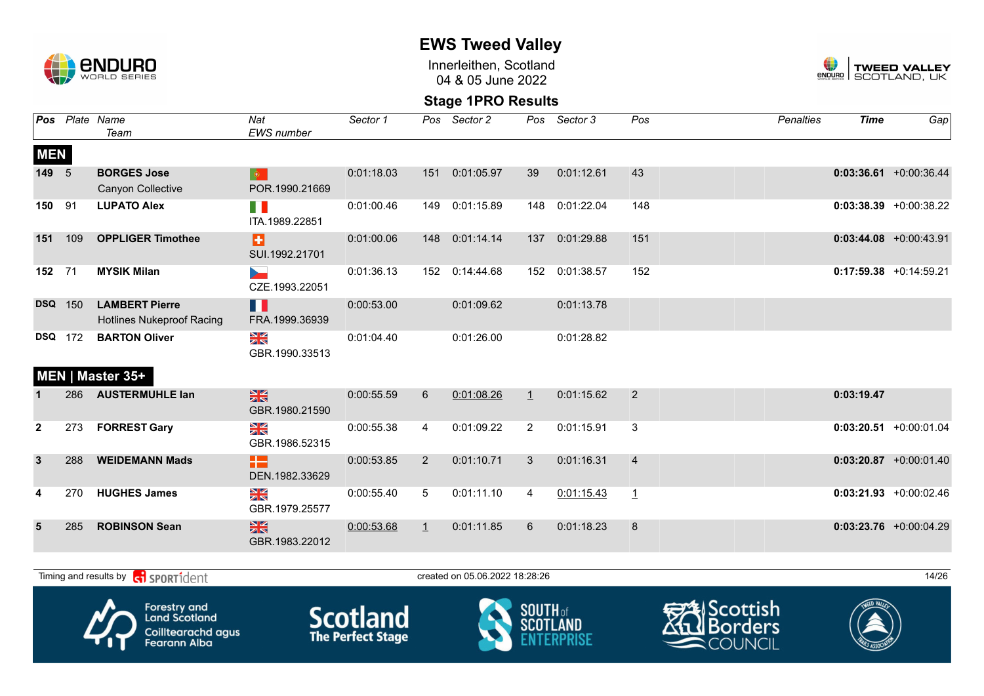

Innerleithen, Scotland 04 & 05 June 2022



### **Stage 1PRO Results**

|              |                | <b>Pos</b> Plate Name<br>Team                             | Nat<br>EWS number                | Sector 1   |                | Pos Sector 2                   |         | Pos Sector 3 | Pos            | <b>Penalties</b> | <b>Time</b> | Gap                       |
|--------------|----------------|-----------------------------------------------------------|----------------------------------|------------|----------------|--------------------------------|---------|--------------|----------------|------------------|-------------|---------------------------|
| <b>MEN</b>   |                |                                                           |                                  |            |                |                                |         |              |                |                  |             |                           |
| 149 5        |                | <b>BORGES Jose</b><br><b>Canyon Collective</b>            | $\bullet$<br>POR.1990.21669      | 0:01:18.03 |                | 151 0:01:05.97                 | 39      | 0:01:12.61   | 43             |                  |             | $0:03:36.61$ +0:00:36.44  |
| 150          | 91             | <b>LUPATO Alex</b>                                        | T N<br>ITA.1989.22851            | 0:01:00.46 | 149            | 0:01:15.89                     | 148     | 0:01:22.04   | 148            |                  |             | $0:03:38.39$ +0:00:38.22  |
| 151          | 109            | <b>OPPLIGER Timothee</b>                                  | Ы<br>SUI.1992.21701              | 0:01:00.06 |                | 148 0:01:14.14                 | 137     | 0:01:29.88   | 151            |                  |             | $0:03:44.08$ +0:00:43.91  |
| 152 71       |                | <b>MYSIK Milan</b>                                        | <b>Service</b><br>CZE.1993.22051 | 0:01:36.13 | 152            | 0:14:44.68                     | 152     | 0:01:38.57   | 152            |                  |             | $0:17:59.38$ +0:14:59.21  |
|              | <b>DSQ</b> 150 | <b>LAMBERT Pierre</b><br><b>Hotlines Nukeproof Racing</b> | n T<br>FRA.1999.36939            | 0:00:53.00 |                | 0:01:09.62                     |         | 0:01:13.78   |                |                  |             |                           |
|              | <b>DSQ</b> 172 | <b>BARTON Oliver</b>                                      | NK<br>AR<br>GBR.1990.33513       | 0:01:04.40 |                | 0:01:26.00                     |         | 0:01:28.82   |                |                  |             |                           |
|              |                | MEN   Master 35+                                          |                                  |            |                |                                |         |              |                |                  |             |                           |
|              | 286            | <b>AUSTERMUHLE lan</b>                                    | $\frac{N}{N}$<br>GBR.1980.21590  | 0:00:55.59 | $6 \,$         | 0:01:08.26                     | $\perp$ | 0:01:15.62   | $\overline{2}$ |                  | 0:03:19.47  |                           |
| $\mathbf{2}$ | 273            | <b>FORREST Gary</b>                                       | N<br>X<br>GBR.1986.52315         | 0:00:55.38 | 4              | 0:01:09.22                     | 2       | 0:01:15.91   | 3              |                  |             | $0:03:20.51$ +0:00:01.04  |
| $\mathbf{3}$ | 288            | <b>WEIDEMANN Mads</b>                                     | 12<br>DEN.1982.33629             | 0:00:53.85 | $\overline{2}$ | 0:01:10.71                     | 3       | 0:01:16.31   | 4              |                  |             | $0:03:20.87$ +0:00:01.40  |
| 4            | 270            | <b>HUGHES James</b>                                       | NK<br>AR<br>GBR.1979.25577       | 0:00:55.40 | 5              | 0:01:11.10                     | 4       | 0:01:15.43   | $\mathbf{1}$   |                  |             | $0:03:21.93 + 0:00:02.46$ |
| 5            | 285            | <b>ROBINSON Sean</b>                                      | $\frac{N}{N}$<br>GBR.1983.22012  | 0:00:53.68 | $\perp$        | 0:01:11.85                     | 6       | 0:01:18.23   | 8              |                  |             | $0:03:23.76$ +0:00:04.29  |
|              |                |                                                           |                                  |            |                |                                |         |              |                |                  |             |                           |
|              |                | Timing and results by <b>CO</b> SPORT1dent                |                                  |            |                | created on 05.06.2022 18:28:26 |         |              |                |                  |             | 14/26                     |









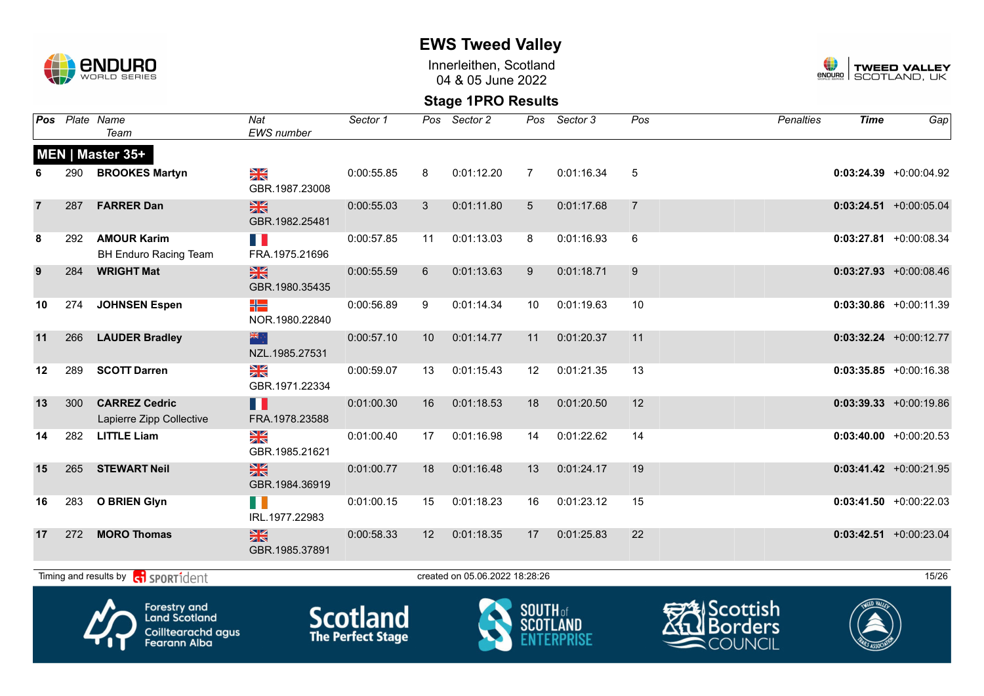

Innerleithen, Scotland 04 & 05 June 2022



### **Stage 1PRO Results**

|    |     | <b>Pos</b> Plate Name<br>Team                      | Nat<br><b>EWS</b> number                          | Sector 1   |    | Pos Sector 2                   |                     | Pos Sector 3 | Pos            | Penalties                | <b>Time</b> | Gap                       |
|----|-----|----------------------------------------------------|---------------------------------------------------|------------|----|--------------------------------|---------------------|--------------|----------------|--------------------------|-------------|---------------------------|
|    |     | MEN   Master 35+                                   |                                                   |            |    |                                |                     |              |                |                          |             |                           |
|    | 290 | <b>BROOKES Martyn</b>                              | $\frac{\mathbf{N}}{\mathbf{N}}$<br>GBR.1987.23008 | 0:00:55.85 | 8  | 0:01:12.20                     | 7                   | 0:01:16.34   | 5              |                          |             | $0:03:24.39$ +0:00:04.92  |
| 7  | 287 | <b>FARRER Dan</b>                                  | $\frac{N}{N}$<br>GBR.1982.25481                   | 0:00:55.03 | 3  | 0:01:11.80                     | 5                   | 0:01:17.68   | $\overline{7}$ |                          |             | $0:03:24.51 + 0:00:05.04$ |
| 8  | 292 | <b>AMOUR Karim</b><br><b>BH Enduro Racing Team</b> | $\mathbb{R}^n$<br>FRA.1975.21696                  | 0:00:57.85 | 11 | 0:01:13.03                     | 8                   | 0:01:16.93   | 6              |                          |             | $0:03:27.81$ +0:00:08.34  |
| 9  | 284 | <b>WRIGHT Mat</b>                                  | $\frac{N}{N}$<br>GBR.1980.35435                   | 0:00:55.59 | 6  | 0:01:13.63                     | 9                   | 0:01:18.71   | 9              |                          |             | $0:03:27.93 + 0:00:08.46$ |
| 10 | 274 | <b>JOHNSEN Espen</b>                               | ╬<br>NOR.1980.22840                               | 0:00:56.89 | 9  | 0:01:14.34                     | 10                  | 0:01:19.63   | 10             |                          |             | $0:03:30.86$ +0:00:11.39  |
| 11 | 266 | <b>LAUDER Bradley</b>                              | 器的<br>NZL.1985.27531                              | 0:00:57.10 | 10 | 0:01:14.77                     | 11                  | 0:01:20.37   | 11             |                          |             | $0:03:32.24 +0:00:12.77$  |
| 12 | 289 | <b>SCOTT Darren</b>                                | $\frac{N}{N}$<br>GBR.1971.22334                   | 0:00:59.07 | 13 | 0:01:15.43                     | 12                  | 0:01:21.35   | 13             |                          |             | $0:03:35.85$ +0:00:16.38  |
| 13 | 300 | <b>CARREZ Cedric</b><br>Lapierre Zipp Collective   | M.<br>FRA.1978.23588                              | 0:01:00.30 | 16 | 0:01:18.53                     | 18                  | 0:01:20.50   | 12             |                          |             | $0:03:39.33 + 0:00:19.86$ |
| 14 | 282 | <b>LITTLE Liam</b>                                 | $\frac{N}{N}$<br>GBR.1985.21621                   | 0:01:00.40 | 17 | 0:01:16.98                     | 14                  | 0:01:22.62   | 14             |                          |             | $0:03:40.00 + 0:00:20.53$ |
| 15 | 265 | <b>STEWART Neil</b>                                | $\frac{N}{N}$<br>GBR.1984.36919                   | 0:01:00.77 | 18 | 0:01:16.48                     | 13                  | 0:01:24.17   | 19             |                          |             | $0:03:41.42 +0:00:21.95$  |
| 16 | 283 | <b>O BRIEN Glyn</b>                                | H N<br>IRL.1977.22983                             | 0:01:00.15 | 15 | 0:01:18.23                     | 16                  | 0:01:23.12   | 15             |                          |             | $0:03:41.50 + 0:00:22.03$ |
| 17 | 272 | <b>MORO Thomas</b>                                 | $\frac{N}{N}$<br>GBR.1985.37891                   | 0:00:58.33 | 12 | 0:01:18.35                     | 17                  | 0:01:25.83   | 22             |                          |             | $0:03:42.51$ +0:00:23.04  |
|    |     | Timing and results by contrident                   |                                                   |            |    | created on 05.06.2022 18:28:26 |                     |              |                |                          |             | 15/26                     |
|    |     | Λ<br><b>Forestry and</b>                           |                                                   | $C = L$    |    |                                | SOUTH <sub>of</sub> |              |                | <del>⊊2</del> 4 Scottish |             |                           |



**Land Scotland** Coilltearachd agus<br>Fearann Alba **SCOTIANO**<br>The Perfect Stage





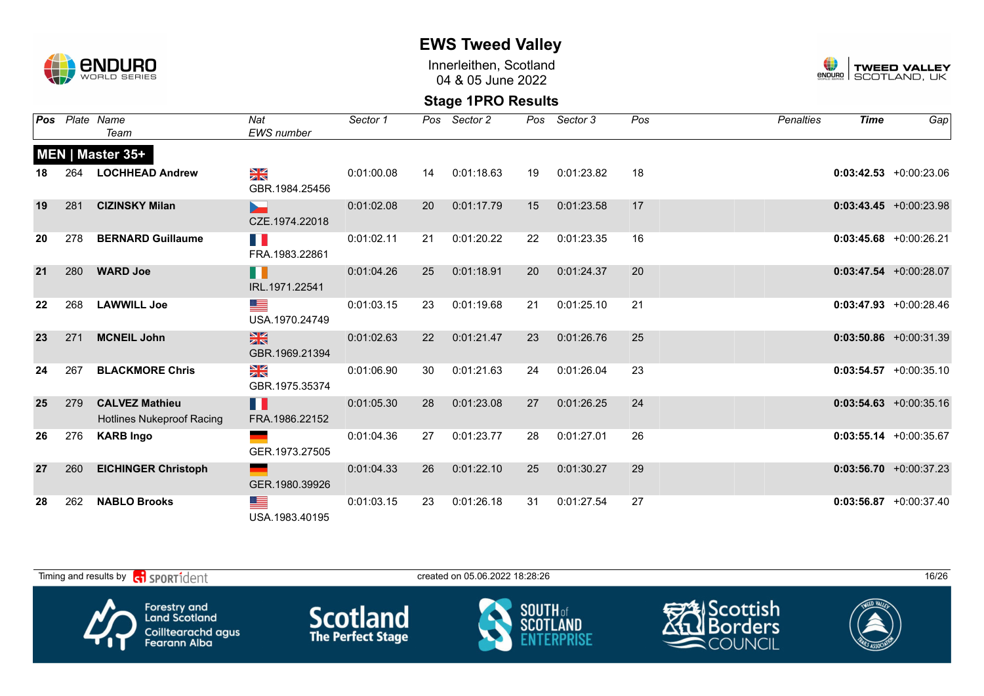

Innerleithen, Scotland 04 & 05 June 2022



|    |     | <b>Pos</b> Plate Name<br>Team                             | Nat<br><b>EWS</b> number        | Sector 1   | Pos | Sector 2   | Pos | Sector 3   | Pos | <b>Penalties</b> | <b>Time</b> | Gap                       |
|----|-----|-----------------------------------------------------------|---------------------------------|------------|-----|------------|-----|------------|-----|------------------|-------------|---------------------------|
|    |     |                                                           |                                 |            |     |            |     |            |     |                  |             |                           |
|    |     | MEN   Master 35+                                          |                                 |            |     |            |     |            |     |                  |             |                           |
|    | 264 | <b>LOCHHEAD Andrew</b>                                    | ≥k<br>GBR.1984.25456            | 0:01:00.08 | 14  | 0:01:18.63 | 19  | 0:01:23.82 | 18  |                  |             | $0:03:42.53 + 0:00:23.06$ |
| 19 | 281 | <b>CIZINSKY Milan</b>                                     | CZE.1974.22018                  | 0:01:02.08 | 20  | 0:01:17.79 | 15  | 0:01:23.58 | 17  |                  |             | $0:03:43.45 + 0:00:23.98$ |
| 20 | 278 | <b>BERNARD Guillaume</b>                                  | H<br>FRA.1983.22861             | 0:01:02.11 | 21  | 0:01:20.22 | 22  | 0:01:23.35 | 16  |                  |             | $0:03:45.68$ +0:00:26.21  |
| 21 | 280 | <b>WARD Joe</b>                                           | ╻╻<br>IRL.1971.22541            | 0:01:04.26 | 25  | 0:01:18.91 | 20  | 0:01:24.37 | 20  |                  |             | $0:03:47.54$ +0:00:28.07  |
| 22 | 268 | <b>LAWWILL Joe</b>                                        | ▀<br>USA.1970.24749             | 0:01:03.15 | 23  | 0:01:19.68 | 21  | 0:01:25.10 | 21  |                  |             | $0:03:47.93$ +0:00:28.46  |
| 23 | 271 | <b>MCNEIL John</b>                                        | $\frac{N}{N}$<br>GBR.1969.21394 | 0:01:02.63 | 22  | 0:01:21.47 | 23  | 0:01:26.76 | 25  |                  |             | $0:03:50.86$ +0:00:31.39  |
| 24 | 267 | <b>BLACKMORE Chris</b>                                    | $\frac{N}{N}$<br>GBR.1975.35374 | 0:01:06.90 | 30  | 0:01:21.63 | 24  | 0:01:26.04 | 23  |                  |             | $0:03:54.57 + 0:00:35.10$ |
| 25 | 279 | <b>CALVEZ Mathieu</b><br><b>Hotlines Nukeproof Racing</b> | Ш<br>FRA.1986.22152             | 0:01:05.30 | 28  | 0:01:23.08 | 27  | 0:01:26.25 | 24  |                  |             | $0:03:54.63 + 0:00:35.16$ |
| 26 | 276 | <b>KARB Ingo</b>                                          | e e<br>GER.1973.27505           | 0:01:04.36 | 27  | 0:01:23.77 | 28  | 0:01:27.01 | 26  |                  |             | $0:03:55.14$ +0:00:35.67  |
| 27 | 260 | <b>EICHINGER Christoph</b>                                | GER.1980.39926                  | 0:01:04.33 | 26  | 0:01:22.10 | 25  | 0:01:30.27 | 29  |                  |             | $0:03:56.70 +0:00:37.23$  |
| 28 | 262 | <b>NABLO Brooks</b>                                       | ▀▀<br>USA.1983.40195            | 0:01:03.15 | 23  | 0:01:26.18 | 31  | 0:01:27.54 | 27  |                  |             | $0:03:56.87 + 0:00:37.40$ |

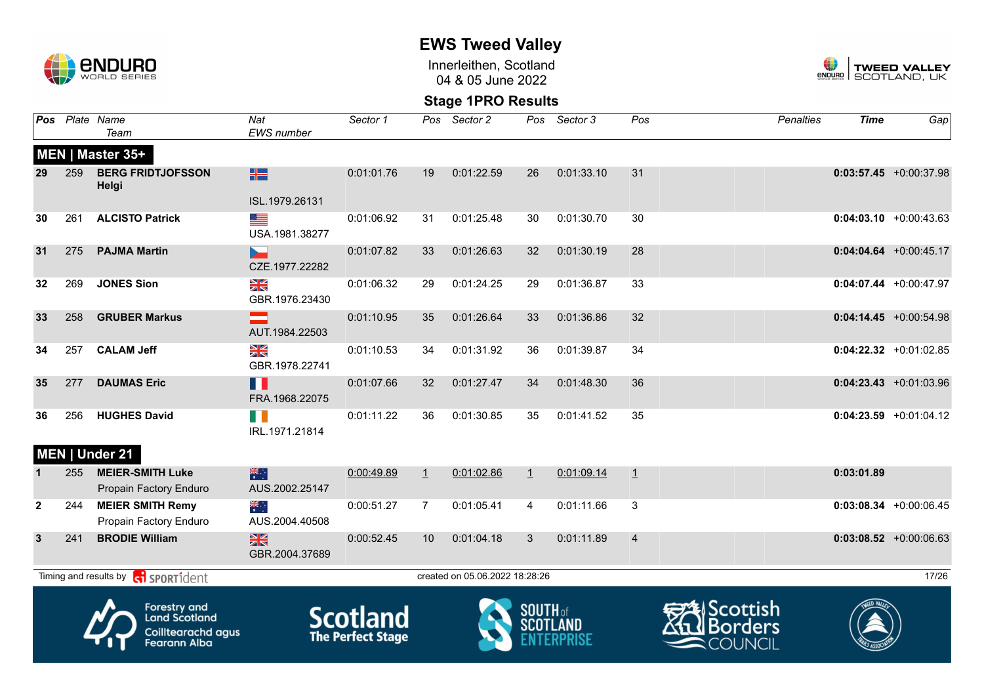

Innerleithen, Scotland 04 & 05 June 2022



| Pos            |     | Plate Name<br>Team                                                                       | Nat<br>EWS number               | Sector 1                                    | Pos            | Sector 2                       | Pos             | Sector 3        | Pos            | <b>Penalties</b>                                    | <b>Time</b> | Gap                       |
|----------------|-----|------------------------------------------------------------------------------------------|---------------------------------|---------------------------------------------|----------------|--------------------------------|-----------------|-----------------|----------------|-----------------------------------------------------|-------------|---------------------------|
|                |     | MEN   Master 35+                                                                         |                                 |                                             |                |                                |                 |                 |                |                                                     |             |                           |
| 29             | 259 | <b>BERG FRIDTJOFSSON</b><br>Helgi                                                        | 噐                               | 0:01:01.76                                  | 19             | 0:01:22.59                     | 26              | 0:01:33.10      | 31             |                                                     |             | $0:03:57.45 +0:00:37.98$  |
|                |     |                                                                                          | ISL.1979.26131                  |                                             |                |                                |                 |                 |                |                                                     |             |                           |
| 30             | 261 | <b>ALCISTO Patrick</b>                                                                   | USA.1981.38277                  | 0:01:06.92                                  | 31             | 0:01:25.48                     | 30              | 0:01:30.70      | 30             |                                                     |             | $0:04:03.10$ +0:00:43.63  |
| 31             | 275 | <b>PAJMA Martin</b>                                                                      | CZE.1977.22282                  | 0:01:07.82                                  | 33             | 0:01:26.63                     | 32              | 0:01:30.19      | 28             |                                                     |             | $0:04:04.64$ +0:00:45.17  |
| 32             | 269 | <b>JONES Sion</b>                                                                        | ≫≪<br>GBR.1976.23430            | 0:01:06.32                                  | 29             | 0:01:24.25                     | 29              | 0:01:36.87      | 33             |                                                     |             | $0:04:07.44 + 0:00:47.97$ |
| 33             | 258 | <b>GRUBER Markus</b>                                                                     | and a<br>AUT.1984.22503         | 0:01:10.95                                  | 35             | 0:01:26.64                     | 33              | 0:01:36.86      | 32             |                                                     |             | $0:04:14.45 + 0:00:54.98$ |
| 34             | 257 | <b>CALAM Jeff</b>                                                                        | ≫<br>X<br>GBR.1978.22741        | 0:01:10.53                                  | 34             | 0:01:31.92                     | 36              | 0:01:39.87      | 34             |                                                     |             | $0:04:22.32$ +0:01:02.85  |
| 35             | 277 | <b>DAUMAS Eric</b>                                                                       | Ш<br>FRA.1968.22075             | 0:01:07.66                                  | 32             | 0:01:27.47                     | 34              | 0:01:48.30      | 36             |                                                     |             | $0:04:23.43 +0:01:03.96$  |
| 36             | 256 | <b>HUGHES David</b>                                                                      | E I<br>IRL.1971.21814           | 0:01:11.22                                  | 36             | 0:01:30.85                     | 35              | 0:01:41.52      | 35             |                                                     |             | $0:04:23.59 + 0:01:04.12$ |
|                |     | MEN   Under 21                                                                           |                                 |                                             |                |                                |                 |                 |                |                                                     |             |                           |
|                | 255 | <b>MEIER-SMITH Luke</b><br>Propain Factory Enduro                                        | 米村<br>AUS.2002.25147            | 0:00:49.89                                  | $\perp$        | 0:01:02.86                     | $\mathbf{1}$    | 0:01:09.14      | $\perp$        |                                                     | 0:03:01.89  |                           |
| $\overline{2}$ | 244 | <b>MEIER SMITH Remy</b><br>Propain Factory Enduro                                        | ैं<br>AUS.2004.40508            | 0:00:51.27                                  | $\overline{7}$ | 0:01:05.41                     | 4               | 0:01:11.66      | 3              |                                                     |             | $0:03:08.34$ +0:00:06.45  |
| $\mathbf{3}$   | 241 | <b>BRODIE William</b>                                                                    | $\frac{N}{N}$<br>GBR.2004.37689 | 0:00:52.45                                  | 10             | 0:01:04.18                     | 3               | 0:01:11.89      | $\overline{4}$ |                                                     |             | $0:03:08.52$ +0:00:06.63  |
|                |     | Timing and results by $\left  \mathbf{c}_1 \right $ SPORT1 dent                          |                                 |                                             |                | created on 05.06.2022 18:28:26 |                 |                 |                |                                                     |             | 17/26                     |
|                |     | <b>Forestry and</b><br><b>Land Scotland</b><br>Coilltearachd agus<br><b>Fearann Alba</b> |                                 | <b>Scotland</b><br><b>The Perfect Stage</b> |                |                                | <b>SOUTH</b> of | <b>SCOTLAND</b> |                | <i><b>Scottish</b></i><br><b>Borders</b><br>COUNCIL |             |                           |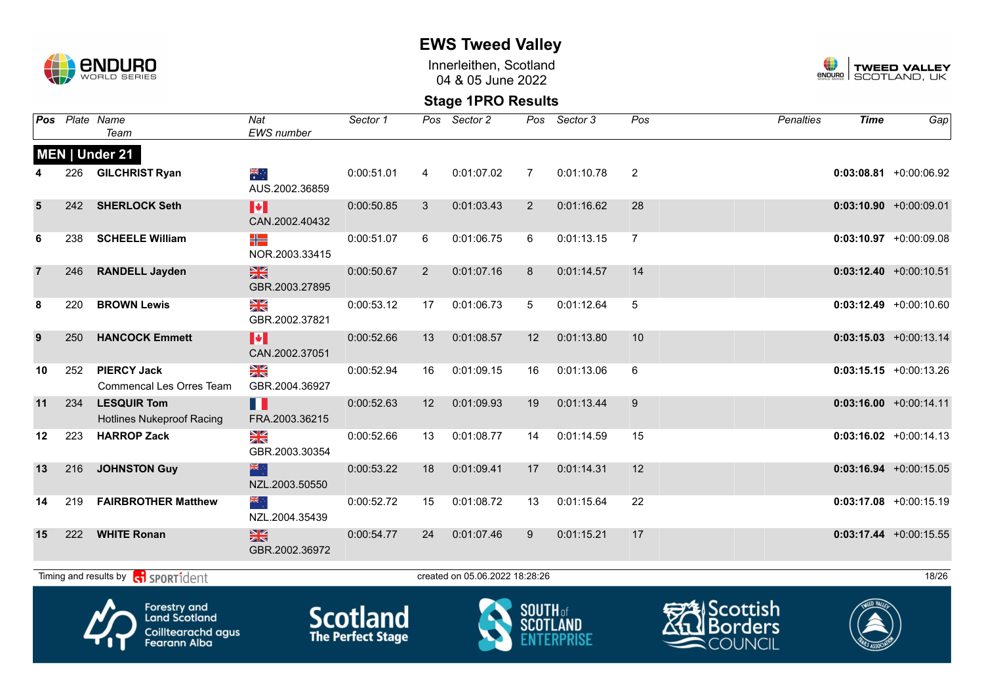

Innerleithen, Scotland 04 & 05 June 2022



|                |     | Pos Plate Name<br>Team                                                                   | Nat<br><b>EWS</b> number        | Sector 1                                    |                                | Pos Sector 2 | Pos               | Sector 3        | Pos            | Penalties                                                    | <b>Time</b> | Gap                       |
|----------------|-----|------------------------------------------------------------------------------------------|---------------------------------|---------------------------------------------|--------------------------------|--------------|-------------------|-----------------|----------------|--------------------------------------------------------------|-------------|---------------------------|
|                |     | MEN   Under 21                                                                           |                                 |                                             |                                |              |                   |                 |                |                                                              |             |                           |
|                | 226 | <b>GILCHRIST Ryan</b>                                                                    | ्हें<br>AUS.2002.36859          | 0:00:51.01                                  | 4                              | 0:01:07.02   | 7                 | 0:01:10.78      | $\overline{2}$ |                                                              |             | $0:03:08.81 + 0:00:06.92$ |
| 5              | 242 | <b>SHERLOCK Seth</b>                                                                     | M<br>CAN.2002.40432             | 0:00:50.85                                  | 3                              | 0:01:03.43   | $\overline{2}$    | 0:01:16.62      | 28             |                                                              |             | $0:03:10.90 + 0:00:09.01$ |
| 6              | 238 | <b>SCHEELE William</b>                                                                   | ╬<br>NOR.2003.33415             | 0:00:51.07                                  | 6                              | 0:01:06.75   | 6                 | 0:01:13.15      | $\overline{7}$ |                                                              |             | $0:03:10.97$ +0:00:09.08  |
| $\overline{7}$ | 246 | <b>RANDELL Jayden</b>                                                                    | $\frac{2}{3}$<br>GBR.2003.27895 | 0:00:50.67                                  | 2                              | 0:01:07.16   | 8                 | 0:01:14.57      | 14             |                                                              |             | $0:03:12.40 + 0:00:10.51$ |
| 8              | 220 | <b>BROWN Lewis</b>                                                                       | NK<br>Ak<br>GBR.2002.37821      | 0:00:53.12                                  | 17                             | 0:01:06.73   | 5                 | 0:01:12.64      | 5              |                                                              |             | $0:03:12.49 + 0:00:10.60$ |
| 9              | 250 | <b>HANCOCK Emmett</b>                                                                    | M<br>CAN.2002.37051             | 0:00:52.66                                  | 13                             | 0:01:08.57   | $12 \overline{ }$ | 0:01:13.80      | 10             |                                                              |             | $0:03:15.03 + 0:00:13.14$ |
| 10             | 252 | <b>PIERCY Jack</b><br><b>Commencal Les Orres Team</b>                                    | NK<br>ZK<br>GBR.2004.36927      | 0:00:52.94                                  | 16                             | 0:01:09.15   | 16                | 0:01:13.06      | 6              |                                                              |             | $0:03:15.15$ +0:00:13.26  |
| 11             | 234 | <b>LESQUIR Tom</b><br><b>Hotlines Nukeproof Racing</b>                                   | П<br>FRA.2003.36215             | 0:00:52.63                                  | 12                             | 0:01:09.93   | 19                | 0:01:13.44      | 9              |                                                              |             | $0:03:16.00 + 0:00:14.11$ |
| 12             | 223 | <b>HARROP Zack</b>                                                                       | $\frac{N}{N}$<br>GBR.2003.30354 | 0:00:52.66                                  | 13                             | 0:01:08.77   | 14                | 0:01:14.59      | 15             |                                                              |             | $0:03:16.02 +0:00:14.13$  |
| 13             | 216 | <b>JOHNSTON Guy</b>                                                                      | 米心<br>NZL.2003.50550            | 0:00:53.22                                  | 18                             | 0:01:09.41   | 17                | 0:01:14.31      | 12             |                                                              |             | $0:03:16.94 +0:00:15.05$  |
| 14             | 219 | <b>FAIRBROTHER Matthew</b>                                                               | ैं श्रू<br>NZL.2004.35439       | 0:00:52.72                                  | 15                             | 0:01:08.72   | 13                | 0:01:15.64      | 22             |                                                              |             | $0:03:17.08$ +0:00:15.19  |
| 15             | 222 | <b>WHITE Ronan</b>                                                                       | $\frac{N}{N}$<br>GBR.2002.36972 | 0:00:54.77                                  | 24                             | 0:01:07.46   | 9                 | 0:01:15.21      | 17             |                                                              |             | $0:03:17.44 + 0:00:15.55$ |
|                |     | Timing and results by <b>container that the SPORT1</b> dent                              |                                 |                                             | created on 05.06.2022 18:28:26 |              |                   |                 |                |                                                              | 18/26       |                           |
|                |     | <b>Forestry and</b><br><b>Land Scotland</b><br>Coilltearachd agus<br><b>Fearann Alba</b> |                                 | <b>Scotland</b><br><b>The Perfect Stage</b> |                                |              | <b>SOUTH</b> of   | <b>SCOTLAND</b> |                | <del>S</del> AlScottish<br>Borders<br>$\blacksquare$ COUNCIL |             |                           |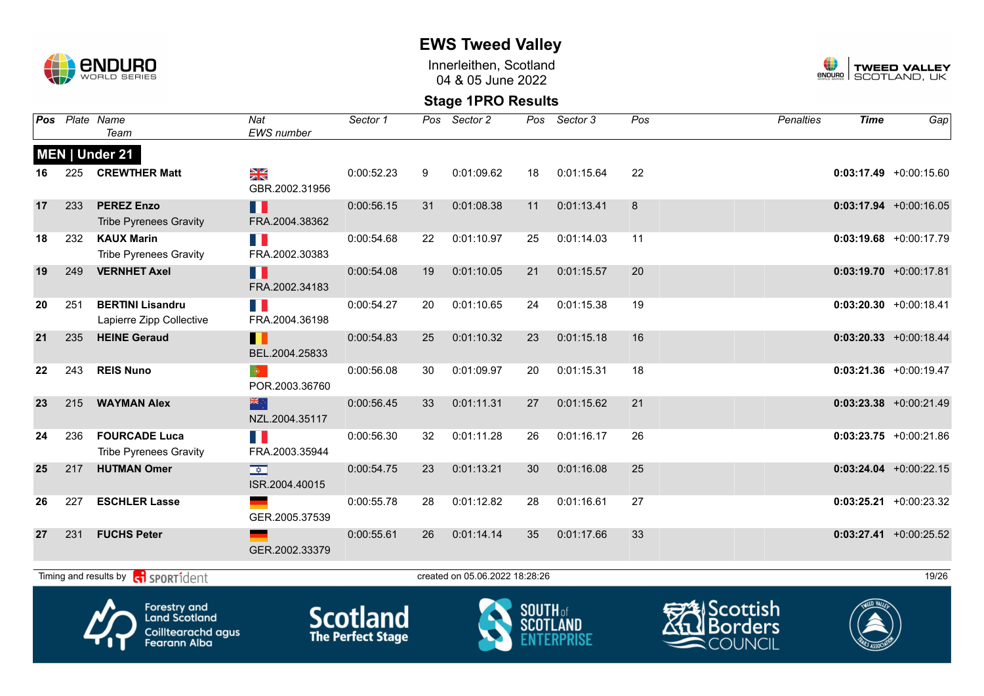

Innerleithen, Scotland 04 & 05 June 2022



| Pos |     | Plate Name<br>Team                                                                | Nat<br>EWS number                                 | Sector 1                                    | Pos | Sector 2                       | Pos             | Sector 3        | Pos | <b>Penalties</b>                                 | <b>Time</b> | Gap                       |
|-----|-----|-----------------------------------------------------------------------------------|---------------------------------------------------|---------------------------------------------|-----|--------------------------------|-----------------|-----------------|-----|--------------------------------------------------|-------------|---------------------------|
|     |     | MEN   Under 21                                                                    |                                                   |                                             |     |                                |                 |                 |     |                                                  |             |                           |
| 16  | 225 | <b>CREWTHER Matt</b>                                                              | $\frac{\mathbf{N}}{\mathbf{N}}$<br>GBR.2002.31956 | 0:00:52.23                                  | 9   | 0:01:09.62                     | 18              | 0:01:15.64      | 22  |                                                  |             | $0:03:17.49$ +0:00:15.60  |
| 17  | 233 | <b>PEREZ Enzo</b><br><b>Tribe Pyrenees Gravity</b>                                | <b>. .</b><br>FRA.2004.38362                      | 0:00:56.15                                  | 31  | 0:01:08.38                     | 11              | 0:01:13.41      | 8   |                                                  |             | $0:03:17.94$ +0:00:16.05  |
| 18  | 232 | <b>KAUX Marin</b><br><b>Tribe Pyrenees Gravity</b>                                | H.<br>FRA.2002.30383                              | 0:00:54.68                                  | 22  | 0:01:10.97                     | 25              | 0:01:14.03      | 11  |                                                  |             | $0:03:19.68$ +0:00:17.79  |
| 19  | 249 | <b>VERNHET Axel</b>                                                               | Ш<br>FRA.2002.34183                               | 0:00:54.08                                  | 19  | 0:01:10.05                     | 21              | 0:01:15.57      | 20  |                                                  |             | $0:03:19.70$ +0:00:17.81  |
| 20  | 251 | <b>BERTINI Lisandru</b><br>Lapierre Zipp Collective                               | T B<br>FRA.2004.36198                             | 0:00:54.27                                  | 20  | 0:01:10.65                     | 24              | 0:01:15.38      | 19  |                                                  |             | $0:03:20.30 + 0:00:18.41$ |
| 21  | 235 | <b>HEINE Geraud</b>                                                               | Ш<br>BEL.2004.25833                               | 0:00:54.83                                  | 25  | 0:01:10.32                     | 23              | 0:01:15.18      | 16  |                                                  |             | $0:03:20.33$ +0:00:18.44  |
| 22  | 243 | <b>REIS Nuno</b>                                                                  | $\langle \Phi \rangle$<br>POR.2003.36760          | 0:00:56.08                                  | 30  | 0:01:09.97                     | 20              | 0:01:15.31      | 18  |                                                  |             | $0:03:21.36 + 0:00:19.47$ |
| 23  | 215 | <b>WAYMAN Alex</b>                                                                | 米<br>NZL.2004.35117                               | 0:00:56.45                                  | 33  | 0:01:11.31                     | 27              | 0:01:15.62      | 21  |                                                  |             | $0:03:23.38$ +0:00:21.49  |
| 24  | 236 | <b>FOURCADE Luca</b><br><b>Tribe Pyrenees Gravity</b>                             | T N<br>FRA.2003.35944                             | 0:00:56.30                                  | 32  | 0:01:11.28                     | 26              | 0:01:16.17      | 26  |                                                  |             | $0:03:23.75$ +0:00:21.86  |
| 25  | 217 | <b>HUTMAN Omer</b>                                                                | $\overline{\phantom{1}}$<br>ISR.2004.40015        | 0:00:54.75                                  | 23  | 0:01:13.21                     | 30              | 0:01:16.08      | 25  |                                                  |             | $0:03:24.04$ +0:00:22.15  |
| 26  | 227 | <b>ESCHLER Lasse</b>                                                              | GER.2005.37539                                    | 0:00:55.78                                  | 28  | 0:01:12.82                     | 28              | 0:01:16.61      | 27  |                                                  |             | $0:03:25.21 + 0:00:23.32$ |
| 27  | 231 | <b>FUCHS Peter</b>                                                                | GER.2002.33379                                    | 0:00:55.61                                  | 26  | 0:01:14.14                     | 35              | 0:01:17.66      | 33  |                                                  |             | $0:03:27.41$ +0:00:25.52  |
|     |     | Timing and results by ci SPORT1dent                                               |                                                   |                                             |     | created on 05.06.2022 18:28:26 |                 |                 |     |                                                  |             | 19/26                     |
|     |     | Forestry and<br><b>Land Scotland</b><br>Coilltearachd agus<br><b>Fearann Alba</b> |                                                   | <b>Scotland</b><br><b>The Perfect Stage</b> |     |                                | <b>SOUTH</b> of | <b>SCOTLAND</b> |     | 2\$IScottish<br><b>Borders</b><br><b>COUNCIL</b> |             |                           |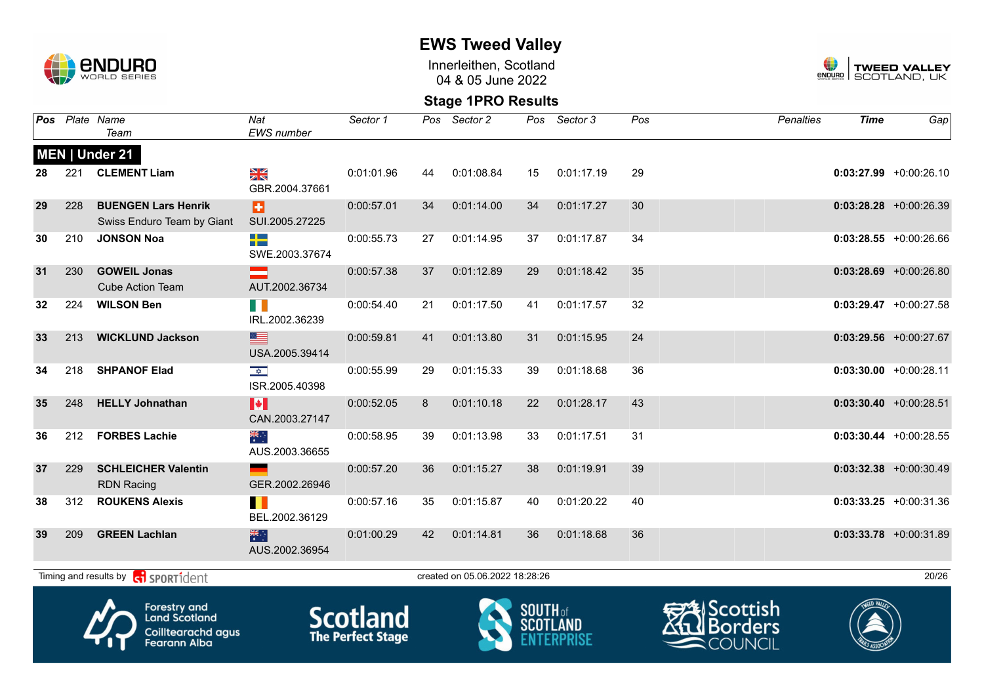

Innerleithen, Scotland 04 & 05 June 2022



### **Stage 1PRO Results**

| Pos |     | Plate Name<br>Team                                                                | Nat<br><b>EWS</b> number               | Sector 1                                    | Pos | Sector 2                       | Pos             | Sector 3        | Pos | Penalties                                                        | <b>Time</b> | Gap                       |
|-----|-----|-----------------------------------------------------------------------------------|----------------------------------------|---------------------------------------------|-----|--------------------------------|-----------------|-----------------|-----|------------------------------------------------------------------|-------------|---------------------------|
|     |     | MEN   Under 21                                                                    |                                        |                                             |     |                                |                 |                 |     |                                                                  |             |                           |
| 28  | 221 | <b>CLEMENT Liam</b>                                                               | N<br>Xk<br>GBR.2004.37661              | 0:01:01.96                                  | 44  | 0:01:08.84                     | 15              | 0:01:17.19      | 29  |                                                                  |             | $0:03:27.99$ +0:00:26.10  |
| 29  | 228 | <b>BUENGEN Lars Henrik</b><br>Swiss Enduro Team by Giant                          | Ð<br>SUI.2005.27225                    | 0:00:57.01                                  | 34  | 0:01:14.00                     | 34              | 0:01:17.27      | 30  |                                                                  |             | $0:03:28.28$ +0:00:26.39  |
| 30  | 210 | <b>JONSON Noa</b>                                                                 | 2 S<br>SWE.2003.37674                  | 0:00:55.73                                  | 27  | 0:01:14.95                     | 37              | 0:01:17.87      | 34  |                                                                  |             | $0:03:28.55 + 0:00:26.66$ |
| 31  | 230 | <b>GOWEIL Jonas</b><br><b>Cube Action Team</b>                                    | AUT.2002.36734                         | 0:00:57.38                                  | 37  | 0:01:12.89                     | 29              | 0:01:18.42      | 35  |                                                                  |             | $0:03:28.69$ +0:00:26.80  |
| 32  | 224 | <b>WILSON Ben</b>                                                                 | H.<br>IRL.2002.36239                   | 0:00:54.40                                  | 21  | 0:01:17.50                     | 41              | 0:01:17.57      | 32  |                                                                  |             | $0:03:29.47$ +0:00:27.58  |
| 33  | 213 | <b>WICKLUND Jackson</b>                                                           | <u>se</u><br>USA.2005.39414            | 0:00:59.81                                  | 41  | 0:01:13.80                     | 31              | 0:01:15.95      | 24  |                                                                  |             | $0:03:29.56$ +0:00:27.67  |
| 34  | 218 | <b>SHPANOF Elad</b>                                                               | $\frac{1}{\sqrt{2}}$<br>ISR.2005.40398 | 0:00:55.99                                  | 29  | 0:01:15.33                     | 39              | 0:01:18.68      | 36  |                                                                  |             | $0:03:30.00 + 0:00:28.11$ |
| 35  | 248 | <b>HELLY Johnathan</b>                                                            | H<br>CAN.2003.27147                    | 0:00:52.05                                  | 8   | 0:01:10.18                     | 22              | 0:01:28.17      | 43  |                                                                  |             | $0:03:30.40 +0:00:28.51$  |
| 36  | 212 | <b>FORBES Lachie</b>                                                              | ्हें<br>AUS.2003.36655                 | 0:00:58.95                                  | 39  | 0:01:13.98                     | 33              | 0:01:17.51      | 31  |                                                                  |             | $0:03:30.44$ +0:00:28.55  |
| 37  | 229 | <b>SCHLEICHER Valentin</b><br><b>RDN Racing</b>                                   | GER.2002.26946                         | 0:00:57.20                                  | 36  | 0:01:15.27                     | 38              | 0:01:19.91      | 39  |                                                                  |             | $0:03:32.38$ +0:00:30.49  |
| 38  | 312 | <b>ROUKENS Alexis</b>                                                             | . .<br>BEL.2002.36129                  | 0:00:57.16                                  | 35  | 0:01:15.87                     | 40              | 0:01:20.22      | 40  |                                                                  |             | $0:03:33.25 +0:00:31.36$  |
| 39  | 209 | <b>GREEN Lachlan</b>                                                              | 糕<br>AUS.2002.36954                    | 0:01:00.29                                  | 42  | 0:01:14.81                     | 36              | 0:01:18.68      | 36  |                                                                  |             | $0:03:33.78$ +0:00:31.89  |
|     |     | Timing and results by <b>container that the SPORT1</b> dent                       |                                        |                                             |     | created on 05.06.2022 18:28:26 |                 |                 |     |                                                                  |             | 20/26                     |
|     |     | Forestry and<br><b>Land Scotland</b><br>Coilltearachd agus<br><b>Fearann Alba</b> |                                        | <b>Scotland</b><br><b>The Perfect Stage</b> |     |                                | <b>SOUTH</b> of | <b>SCOTLAND</b> |     | <b>AScottish</b><br><u> Il Borders</u><br>$\blacksquare$ COUNCIL |             |                           |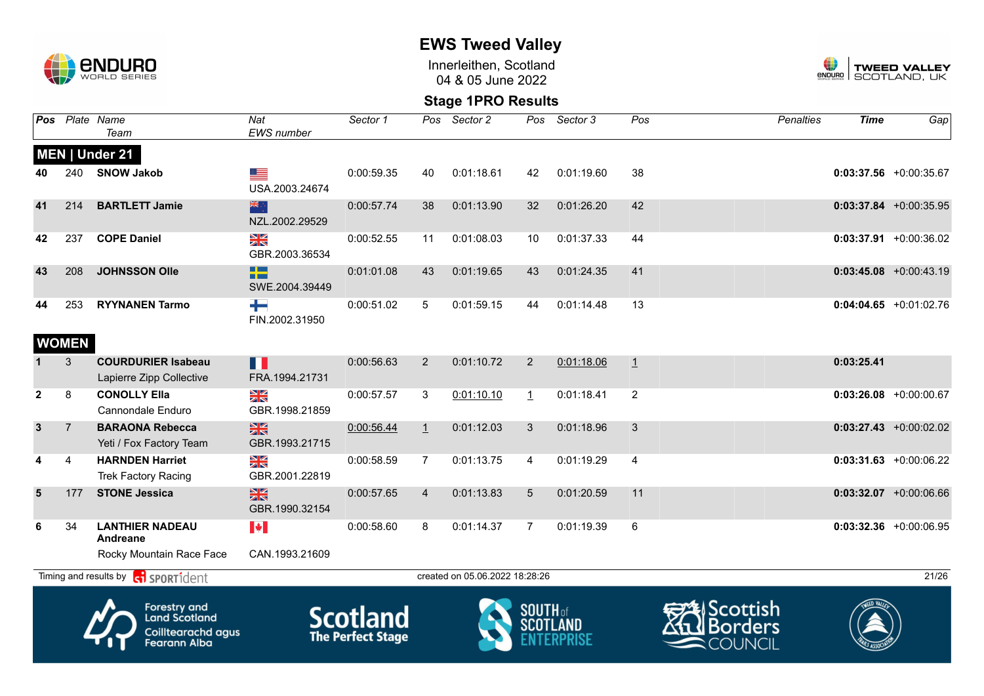

Innerleithen, Scotland 04 & 05 June 2022



| <b>Pos</b>   |                        | Plate Name<br>Team                                                                       | Nat<br><b>EWS</b> number          | Sector 1                                    | Pos             | Sector 2                       | Pos                      | Sector 3   | Pos            | <b>Penalties</b>                                 | <b>Time</b> | Gap                       |
|--------------|------------------------|------------------------------------------------------------------------------------------|-----------------------------------|---------------------------------------------|-----------------|--------------------------------|--------------------------|------------|----------------|--------------------------------------------------|-------------|---------------------------|
|              |                        | MEN   Under 21                                                                           |                                   |                                             |                 |                                |                          |            |                |                                                  |             |                           |
| 40           | 240                    | <b>SNOW Jakob</b>                                                                        | <u> and</u><br>USA.2003.24674     | 0:00:59.35                                  | 40              | 0:01:18.61                     | 42                       | 0:01:19.60 | 38             |                                                  |             | $0:03:37.56$ +0:00:35.67  |
| 41           | 214                    | <b>BARTLETT Jamie</b>                                                                    | 米心<br>NZL.2002.29529              | 0:00:57.74                                  | 38              | 0:01:13.90                     | 32                       | 0:01:26.20 | 42             |                                                  |             | $0:03:37.84$ +0:00:35.95  |
| 42           | 237                    | <b>COPE Daniel</b>                                                                       | $\frac{N}{N}$<br>GBR.2003.36534   | 0:00:52.55                                  | 11              | 0:01:08.03                     | 10                       | 0:01:37.33 | 44             |                                                  |             | $0:03:37.91$ +0:00:36.02  |
| 43           | 208                    | <b>JOHNSSON Olle</b>                                                                     | ٢Z<br>SWE.2004.39449              | 0:01:01.08                                  | 43              | 0:01:19.65                     | 43                       | 0:01:24.35 | 41             |                                                  |             | $0:03:45.08$ +0:00:43.19  |
| 44           | 253<br><b>WOMEN</b>    | <b>RYYNANEN Tarmo</b>                                                                    | ╄<br>FIN.2002.31950               | 0:00:51.02                                  | 5               | 0:01:59.15                     | 44                       | 0:01:14.48 | 13             |                                                  |             | $0:04:04.65$ +0:01:02.76  |
|              | 3                      | <b>COURDURIER Isabeau</b><br>Lapierre Zipp Collective                                    | H<br>FRA.1994.21731               | 0:00:56.63                                  | $\overline{2}$  | 0:01:10.72                     | 2                        | 0:01:18.06 | 1              |                                                  | 0:03:25.41  |                           |
| $\mathbf{2}$ | 8                      | <b>CONOLLY Ella</b><br>Cannondale Enduro                                                 | X<br>GBR.1998.21859               | 0:00:57.57                                  | 3               | 0:01:10.10                     | $\mathbf{1}$             | 0:01:18.41 | $\overline{2}$ |                                                  |             | $0:03:26.08$ +0:00:00.67  |
| $\mathbf{3}$ | $\overline{7}$         | <b>BARAONA Rebecca</b><br>Yeti / Fox Factory Team                                        | $\frac{28}{28}$<br>GBR.1993.21715 | 0:00:56.44                                  | $1\overline{1}$ | 0:01:12.03                     | 3                        | 0:01:18.96 | 3              |                                                  |             | $0:03:27.43 + 0:00:02.02$ |
| 4            | $\boldsymbol{\Lambda}$ | <b>HARNDEN Harriet</b><br><b>Trek Factory Racing</b>                                     | N<br>X<br>GBR.2001.22819          | 0:00:58.59                                  | $\overline{7}$  | 0:01:13.75                     | 4                        | 0:01:19.29 | 4              |                                                  |             | $0:03:31.63$ +0:00:06.22  |
| 5            | 177                    | <b>STONE Jessica</b>                                                                     | $\frac{28}{28}$<br>GBR.1990.32154 | 0:00:57.65                                  | $\overline{4}$  | 0:01:13.83                     | 5                        | 0:01:20.59 | 11             |                                                  |             | $0:03:32.07$ +0:00:06.66  |
| 6            | 34                     | <b>LANTHIER NADEAU</b><br>Andreane                                                       | $\blacktriangleright$             | 0:00:58.60                                  | 8               | 0:01:14.37                     | 7                        | 0:01:19.39 | 6              |                                                  |             | $0:03:32.36$ +0:00:06.95  |
|              |                        | Rocky Mountain Race Face                                                                 | CAN.1993.21609                    |                                             |                 |                                |                          |            |                |                                                  |             |                           |
|              |                        | Timing and results by <b>container that the SPORT1</b> dent                              |                                   |                                             |                 | created on 05.06.2022 18:28:26 |                          |            |                |                                                  |             | 21/26                     |
|              |                        | <b>Forestry and</b><br><b>Land Scotland</b><br>Coilltearachd agus<br><b>Fearann Alba</b> |                                   | <b>Scotland</b><br><b>The Perfect Stage</b> |                 |                                | <b>SOUTH</b> of<br>SCOTI |            |                | اscottish)<br><b>I</b> Borders<br><b>COUNCII</b> |             |                           |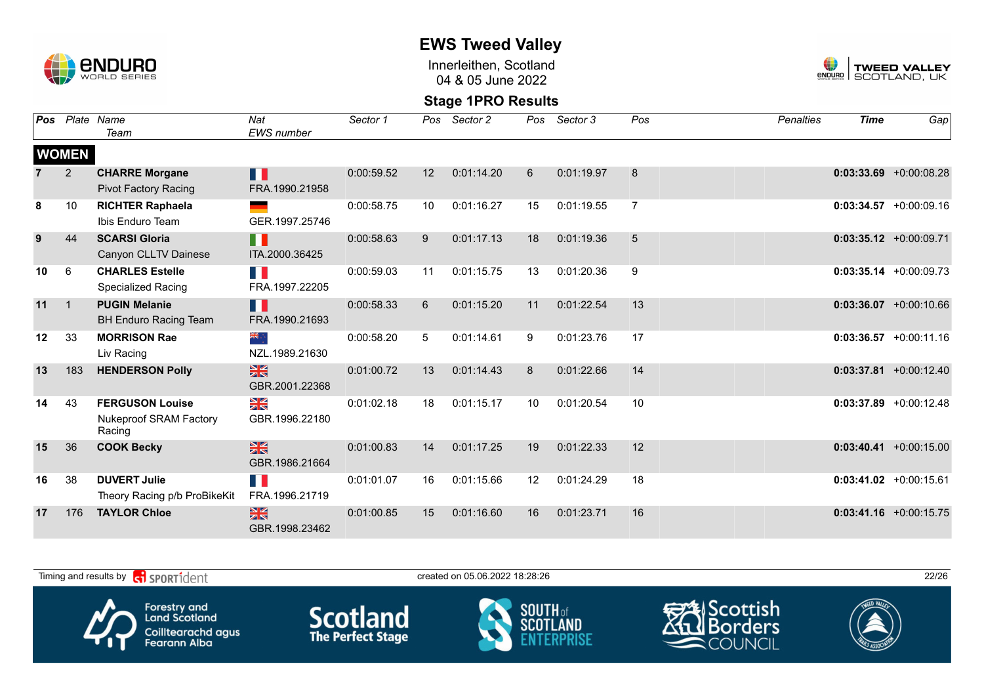

Innerleithen, Scotland 04 & 05 June 2022



| <b>Pos</b> |                | Plate Name<br>Team                                                | Nat<br><b>EWS</b> number                  | Sector 1   | Pos         | Sector 2   | Pos | Sector 3   | Pos            | <b>Penalties</b> | <b>Time</b> | Gap                       |
|------------|----------------|-------------------------------------------------------------------|-------------------------------------------|------------|-------------|------------|-----|------------|----------------|------------------|-------------|---------------------------|
|            | <b>WOMEN</b>   |                                                                   |                                           |            |             |            |     |            |                |                  |             |                           |
|            | 2              | <b>CHARRE Morgane</b><br><b>Pivot Factory Racing</b>              | Ш<br>FRA.1990.21958                       | 0:00:59.52 | 12          | 0:01:14.20 | 6   | 0:01:19.97 | 8              |                  |             | $0:03:33.69$ +0:00:08.28  |
| 8          | 10             | <b>RICHTER Raphaela</b><br>Ibis Enduro Team                       | GER.1997.25746                            | 0:00:58.75 | 10          | 0:01:16.27 | 15  | 0:01:19.55 | $\overline{7}$ |                  |             | $0:03:34.57 + 0:00:09.16$ |
| 9          | 44             | <b>SCARSI Gloria</b><br>Canyon CLLTV Dainese                      | H<br>ITA.2000.36425                       | 0:00:58.63 | 9           | 0:01:17.13 | 18  | 0:01:19.36 | 5              |                  |             | $0:03:35.12 +0:00:09.71$  |
| 10         | 6              | <b>CHARLES Estelle</b><br><b>Specialized Racing</b>               | E.<br>FRA.1997.22205                      | 0:00:59.03 | 11          | 0:01:15.75 | 13  | 0:01:20.36 | 9              |                  |             | $0:03:35.14$ +0:00:09.73  |
| 11         | $\overline{1}$ | <b>PUGIN Melanie</b><br><b>BH Enduro Racing Team</b>              | H<br>FRA.1990.21693                       | 0:00:58.33 | $6^{\circ}$ | 0:01:15.20 | 11  | 0:01:22.54 | 13             |                  |             | $0:03:36.07$ +0:00:10.66  |
| 12         | 33             | <b>MORRISON Rae</b><br>Liv Racing                                 | ैँ व्य<br>NZL.1989.21630                  | 0:00:58.20 | 5           | 0:01:14.61 | 9   | 0:01:23.76 | 17             |                  |             | $0:03:36.57 +0:00:11.16$  |
| 13         | 183            | <b>HENDERSON Polly</b>                                            | $\frac{N}{N}$<br>GBR.2001.22368           | 0:01:00.72 | 13          | 0:01:14.43 | 8   | 0:01:22.66 | 14             |                  |             | $0:03:37.81$ +0:00:12.40  |
| 14         | 43             | <b>FERGUSON Louise</b><br><b>Nukeproof SRAM Factory</b><br>Racing | $\frac{\Delta}{\Delta}$<br>GBR.1996.22180 | 0:01:02.18 | 18          | 0:01:15.17 | 10  | 0:01:20.54 | 10             |                  |             | $0:03:37.89$ +0:00:12.48  |
| 15         | 36             | <b>COOK Becky</b>                                                 | $\frac{N}{N}$<br>GBR.1986.21664           | 0:01:00.83 | 14          | 0:01:17.25 | 19  | 0:01:22.33 | 12             |                  |             | $0:03:40.41 + 0:00:15.00$ |
| 16         | 38             | <b>DUVERT Julie</b><br>Theory Racing p/b ProBikeKit               | FRA.1996.21719                            | 0:01:01.07 | 16          | 0:01:15.66 | 12  | 0:01:24.29 | 18             |                  |             | $0:03:41.02 +0:00:15.61$  |
| 17         | 176            | <b>TAYLOR Chloe</b>                                               | $\frac{N}{N}$<br>GBR.1998.23462           | 0:01:00.85 | 15          | 0:01:16.60 | 16  | 0:01:23.71 | 16             |                  |             | $0:03:41.16$ +0:00:15.75  |

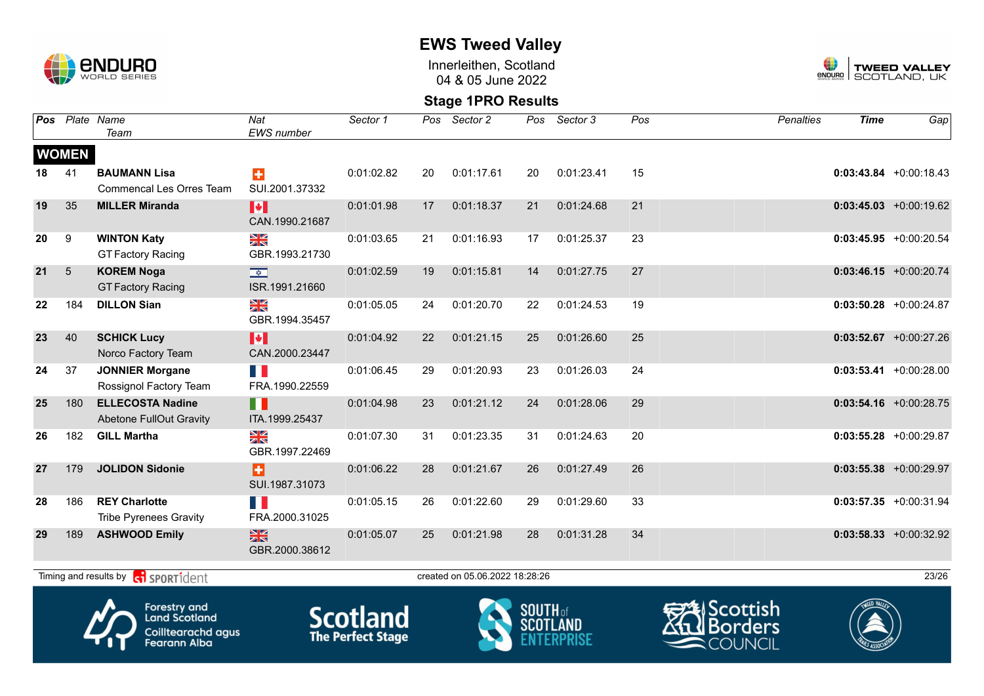

Innerleithen, Scotland 04 & 05 June 2022



### **Stage 1PRO Results**

| Pos |              | Plate Name<br>Team                                        | Nat<br><b>EWS</b> number                    | Sector 1   | Pos | Sector 2                       | Pos | Sector 3   | Pos | <b>Penalties</b> | <b>Time</b> | Gap                       |
|-----|--------------|-----------------------------------------------------------|---------------------------------------------|------------|-----|--------------------------------|-----|------------|-----|------------------|-------------|---------------------------|
|     | <b>WOMEN</b> |                                                           |                                             |            |     |                                |     |            |     |                  |             |                           |
| 18  | 41           | <b>BAUMANN Lisa</b><br><b>Commencal Les Orres Team</b>    | $\ddot{\phantom{1}}$<br>SUI.2001.37332      | 0:01:02.82 | 20  | 0:01:17.61                     | 20  | 0:01:23.41 | 15  |                  |             | $0:03:43.84$ +0:00:18.43  |
| 19  | 35           | <b>MILLER Miranda</b>                                     | $\blacktriangleright$<br>CAN.1990.21687     | 0:01:01.98 | 17  | 0:01:18.37                     | 21  | 0:01:24.68 | 21  |                  |             | $0:03:45.03 +0:00:19.62$  |
| 20  | 9            | <b>WINTON Katy</b><br><b>GT Factory Racing</b>            | ≥K<br>GBR.1993.21730                        | 0:01:03.65 | 21  | 0:01:16.93                     | 17  | 0:01:25.37 | 23  |                  |             | $0:03:45.95$ +0:00:20.54  |
| 21  | $\sqrt{5}$   | <b>KOREM Noga</b><br><b>GT Factory Racing</b>             | $\overline{\mathbf{r}^2}$<br>ISR.1991.21660 | 0:01:02.59 | 19  | 0:01:15.81                     | 14  | 0:01:27.75 | 27  |                  |             | $0:03:46.15$ +0:00:20.74  |
| 22  | 184          | <b>DILLON Sian</b>                                        | XK<br>GBR.1994.35457                        | 0:01:05.05 | 24  | 0:01:20.70                     | 22  | 0:01:24.53 | 19  |                  |             | $0:03:50.28$ +0:00:24.87  |
| 23  | 40           | <b>SCHICK Lucy</b><br>Norco Factory Team                  | H<br>CAN.2000.23447                         | 0:01:04.92 | 22  | 0:01:21.15                     | 25  | 0:01:26.60 | 25  |                  |             | $0:03:52.67$ +0:00:27.26  |
| 24  | 37           | <b>JONNIER Morgane</b><br>Rossignol Factory Team          | H I<br>FRA.1990.22559                       | 0:01:06.45 | 29  | 0:01:20.93                     | 23  | 0:01:26.03 | 24  |                  |             | $0:03:53.41 + 0:00:28.00$ |
| 25  | 180          | <b>ELLECOSTA Nadine</b><br><b>Abetone FullOut Gravity</b> | П<br>ITA.1999.25437                         | 0:01:04.98 | 23  | 0:01:21.12                     | 24  | 0:01:28.06 | 29  |                  |             | $0:03:54.16$ +0:00:28.75  |
| 26  | 182          | <b>GILL Martha</b>                                        | XK<br>GBR.1997.22469                        | 0:01:07.30 | 31  | 0:01:23.35                     | 31  | 0:01:24.63 | 20  |                  |             | $0:03:55.28$ +0:00:29.87  |
| 27  | 179          | <b>JOLIDON Sidonie</b>                                    | П<br>SUI.1987.31073                         | 0:01:06.22 | 28  | 0:01:21.67                     | 26  | 0:01:27.49 | 26  |                  |             | $0:03:55.38$ +0:00:29.97  |
| 28  | 186          | <b>REY Charlotte</b><br><b>Tribe Pyrenees Gravity</b>     | T N<br>FRA.2000.31025                       | 0:01:05.15 | 26  | 0:01:22.60                     | 29  | 0:01:29.60 | 33  |                  |             | $0:03:57.35$ +0:00:31.94  |
| 29  | 189          | <b>ASHWOOD Emily</b>                                      | $\frac{N}{N}$<br>GBR.2000.38612             | 0:01:05.07 | 25  | 0:01:21.98                     | 28  | 0:01:31.28 | 34  |                  |             | $0:03:58.33 +0:00:32.92$  |
|     |              | Timing and results by contract of the SPORT1 dent         |                                             |            |     | created on 05.06.2022 18:28:26 |     |            |     |                  |             | 23/26                     |
|     |              |                                                           |                                             |            |     |                                |     |            |     |                  |             |                           |









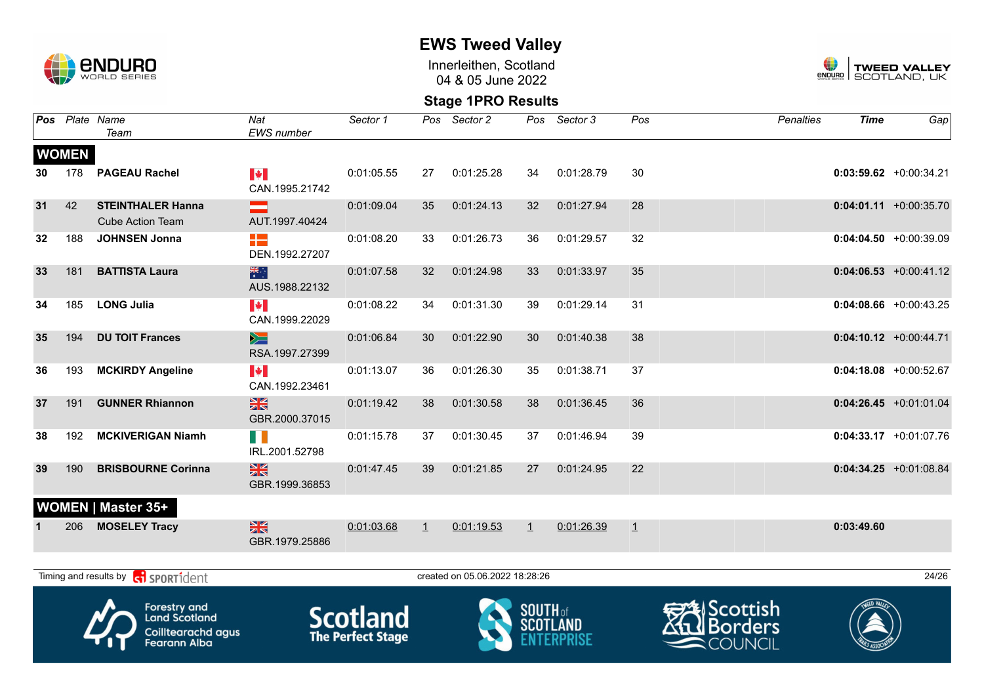

Innerleithen, Scotland 04 & 05 June 2022



|    |              | Pos Plate Name<br>Team                                                                   | Nat<br><b>EWS</b> number                | Sector 1                                    | Pos     | Sector 2                       |                 | Pos Sector 3    | Pos     | <b>Penalties</b>                                         | <b>Time</b> | Gap                       |
|----|--------------|------------------------------------------------------------------------------------------|-----------------------------------------|---------------------------------------------|---------|--------------------------------|-----------------|-----------------|---------|----------------------------------------------------------|-------------|---------------------------|
|    | <b>WOMEN</b> |                                                                                          |                                         |                                             |         |                                |                 |                 |         |                                                          |             |                           |
| 30 | 178          | <b>PAGEAU Rachel</b>                                                                     | $\blacktriangleright$<br>CAN.1995.21742 | 0:01:05.55                                  | 27      | 0:01:25.28                     | 34              | 0:01:28.79      | 30      |                                                          |             | $0:03:59.62$ +0:00:34.21  |
| 31 | 42           | <b>STEINTHALER Hanna</b><br><b>Cube Action Team</b>                                      | AUT.1997.40424                          | 0:01:09.04                                  | 35      | 0:01:24.13                     | 32              | 0:01:27.94      | 28      |                                                          |             | $0:04:01.11$ +0:00:35.70  |
| 32 | 188          | <b>JOHNSEN Jonna</b>                                                                     | 42<br>DEN.1992.27207                    | 0:01:08.20                                  | 33      | 0:01:26.73                     | 36              | 0:01:29.57      | 32      |                                                          |             | $0:04:04.50 + 0:00:39.09$ |
| 33 | 181          | <b>BATTISTA Laura</b>                                                                    | 米<br>AUS.1988.22132                     | 0:01:07.58                                  | 32      | 0:01:24.98                     | 33              | 0:01:33.97      | 35      |                                                          |             | $0:04:06.53 + 0:00:41.12$ |
| 34 | 185          | <b>LONG Julia</b>                                                                        | $\blacktriangleright$<br>CAN.1999.22029 | 0:01:08.22                                  | 34      | 0:01:31.30                     | 39              | 0:01:29.14      | 31      |                                                          |             | $0:04:08.66$ +0:00:43.25  |
| 35 | 194          | <b>DU TOIT Frances</b>                                                                   | ⋟≡<br>RSA.1997.27399                    | 0:01:06.84                                  | 30      | 0:01:22.90                     | 30              | 0:01:40.38      | 38      |                                                          |             | $0:04:10.12$ +0:00:44.71  |
| 36 | 193          | <b>MCKIRDY Angeline</b>                                                                  | $\blacktriangleright$<br>CAN.1992.23461 | 0:01:13.07                                  | 36      | 0:01:26.30                     | 35              | 0:01:38.71      | 37      |                                                          |             | $0:04:18.08$ +0:00:52.67  |
| 37 | 191          | <b>GUNNER Rhiannon</b>                                                                   | X<br>GBR.2000.37015                     | 0:01:19.42                                  | 38      | 0:01:30.58                     | 38              | 0:01:36.45      | 36      |                                                          |             | $0:04:26.45 +0:01:01.04$  |
| 38 | 192          | <b>MCKIVERIGAN Niamh</b>                                                                 | H I<br>IRL.2001.52798                   | 0:01:15.78                                  | 37      | 0:01:30.45                     | 37              | 0:01:46.94      | 39      |                                                          |             | $0:04:33.17$ +0:01:07.76  |
| 39 | 190          | <b>BRISBOURNE Corinna</b>                                                                | $\frac{N}{N}$<br>GBR.1999.36853         | 0:01:47.45                                  | 39      | 0:01:21.85                     | 27              | 0:01:24.95      | 22      |                                                          |             | $0:04:34.25 +0:01:08.84$  |
|    |              | WOMEN   Master 35+                                                                       |                                         |                                             |         |                                |                 |                 |         |                                                          |             |                           |
|    | 206          | <b>MOSELEY Tracy</b>                                                                     | $\frac{N}{N}$<br>GBR.1979.25886         | 0:01:03.68                                  | $\perp$ | 0:01:19.53                     | $\mathbf{1}$    | 0:01:26.39      | $\perp$ |                                                          | 0:03:49.60  |                           |
|    |              | Timing and results by <b>c</b> o <b>SPORT1</b> dent                                      |                                         |                                             |         | created on 05.06.2022 18:28:26 |                 |                 |         |                                                          |             | 24/26                     |
|    |              | <b>Forestry and</b><br><b>Land Scotland</b><br>Coilltearachd agus<br><b>Fearann Alba</b> |                                         | <b>Scotland</b><br><b>The Perfect Stage</b> |         |                                | <b>SOUTH</b> of | <b>SCOTLAND</b> |         | <b>SAIScottish</b><br><b>I</b> Borders<br><b>COUNCIL</b> |             |                           |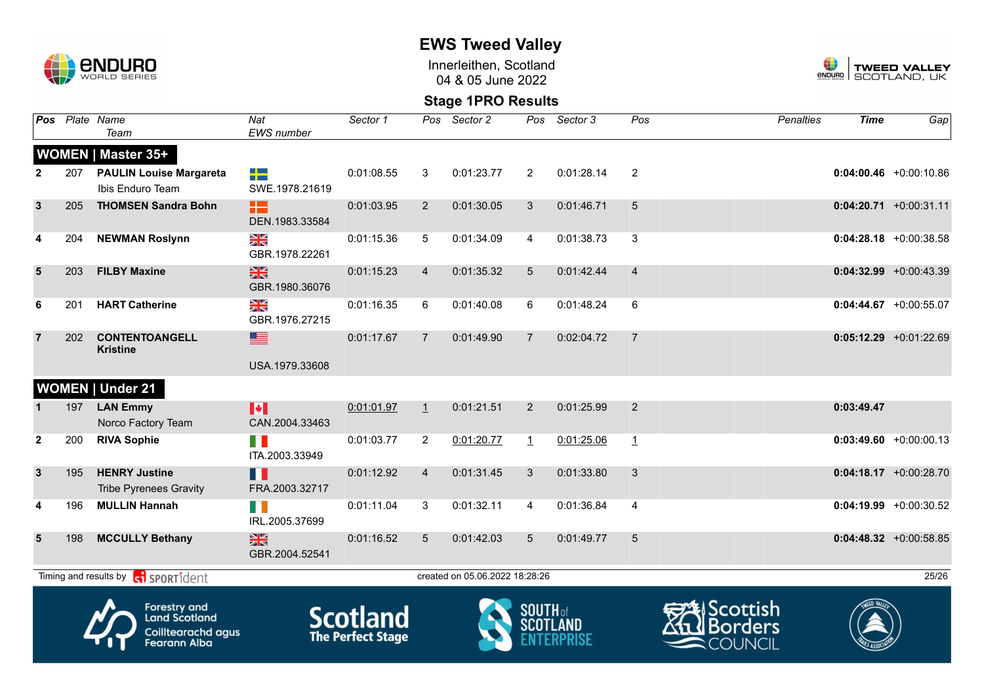

Innerleithen, Scotland 04 & 05 June 2022



|                |     | Pos Plate Name<br>Team                                                                   | Nat<br>EWS number                         | Sector 1                                    | Pos            | Sector 2                       | Pos                      | Sector 3   | Pos            | <b>Penalties</b>                               | <b>Time</b> | Gap                       |
|----------------|-----|------------------------------------------------------------------------------------------|-------------------------------------------|---------------------------------------------|----------------|--------------------------------|--------------------------|------------|----------------|------------------------------------------------|-------------|---------------------------|
|                |     | <b>WOMEN   Master 35+</b>                                                                |                                           |                                             |                |                                |                          |            |                |                                                |             |                           |
| $\mathbf{2}$   | 207 | <b>PAULIN Louise Margareta</b><br>Ibis Enduro Team                                       | 2년<br>SWE.1978.21619                      | 0:01:08.55                                  | 3              | 0:01:23.77                     | $\overline{2}$           | 0:01:28.14 | $\overline{2}$ |                                                |             | $0:04:00.46$ +0:00:10.86  |
| $\mathbf{3}$   | 205 | <b>THOMSEN Sandra Bohn</b>                                                               | 82<br>DEN.1983.33584                      | 0:01:03.95                                  | $\overline{2}$ | 0:01:30.05                     | 3                        | 0:01:46.71 | 5              |                                                |             | $0:04:20.71$ +0:00:31.11  |
| 4              | 204 | <b>NEWMAN Roslynn</b>                                                                    | $\frac{N}{N}$<br>GBR.1978.22261           | 0:01:15.36                                  | 5              | 0:01:34.09                     | $\overline{4}$           | 0:01:38.73 | 3              |                                                |             | $0:04:28.18$ +0:00:38.58  |
| 5              | 203 | <b>FILBY Maxine</b>                                                                      | $\frac{N}{N}$<br>GBR.1980.36076           | 0:01:15.23                                  | $\overline{4}$ | 0:01:35.32                     | 5                        | 0:01:42.44 | $\overline{4}$ |                                                |             | $0:04:32.99 + 0:00:43.39$ |
| 6              | 201 | <b>HART Catherine</b>                                                                    | $\frac{\Delta}{\Delta}$<br>GBR.1976.27215 | 0:01:16.35                                  | 6              | 0:01:40.08                     | 6                        | 0:01:48.24 | 6              |                                                |             | $0:04:44.67$ +0:00:55.07  |
| $\overline{7}$ | 202 | <b>CONTENTOANGELL</b><br><b>Kristine</b>                                                 | ▇                                         | 0:01:17.67                                  | $\overline{7}$ | 0:01:49.90                     | $\overline{7}$           | 0:02:04.72 | $\overline{7}$ |                                                |             | $0:05:12.29$ +0:01:22.69  |
|                |     |                                                                                          | USA.1979.33608                            |                                             |                |                                |                          |            |                |                                                |             |                           |
|                |     | <b>WOMEN   Under 21</b>                                                                  |                                           |                                             |                |                                |                          |            |                |                                                |             |                           |
|                | 197 | <b>LAN Emmy</b><br>Norco Factory Team                                                    | $\blacktriangleright$<br>CAN.2004.33463   | 0:01:01.97                                  | $\perp$        | 0:01:21.51                     | 2                        | 0:01:25.99 | $\overline{2}$ |                                                | 0:03:49.47  |                           |
| $\mathbf{2}$   | 200 | <b>RIVA Sophie</b>                                                                       | M.<br>ITA.2003.33949                      | 0:01:03.77                                  | $\overline{2}$ | 0:01:20.77                     | $\mathbf{1}$             | 0:01:25.06 | $\mathbf{1}$   |                                                |             | $0:03:49.60 + 0:00:00.13$ |
| $\mathbf{3}$   | 195 | <b>HENRY Justine</b><br><b>Tribe Pyrenees Gravity</b>                                    | H.<br>FRA.2003.32717                      | 0:01:12.92                                  | $\overline{4}$ | 0:01:31.45                     | 3                        | 0:01:33.80 | 3              |                                                |             | $0:04:18.17 + 0:00:28.70$ |
| 4              | 196 | <b>MULLIN Hannah</b>                                                                     | H<br>IRL.2005.37699                       | 0:01:11.04                                  | 3              | 0:01:32.11                     | 4                        | 0:01:36.84 | $\overline{4}$ |                                                |             | $0:04:19.99$ +0:00:30.52  |
| 5              | 198 | <b>MCCULLY Bethany</b>                                                                   | $\frac{N}{N}$<br>GBR.2004.52541           | 0:01:16.52                                  | 5              | 0:01:42.03                     | $5\overline{)}$          | 0:01:49.77 | 5              |                                                |             | $0:04:48.32$ +0:00:58.85  |
|                |     | Timing and results by <b>c</b> o <b>SPORT1</b> dent                                      |                                           |                                             |                | created on 05.06.2022 18:28:26 |                          |            |                |                                                |             | 25/26                     |
|                |     | <b>Forestry and</b><br><b>Land Scotland</b><br>Coilltearachd agus<br><b>Fearann Alba</b> |                                           | <b>Scotland</b><br><b>The Perfect Stage</b> |                |                                | <b>SOUTH</b> of<br>SCOTL |            |                | ا Scottish<br><b>Borders</b><br><b>COUNCIL</b> |             |                           |